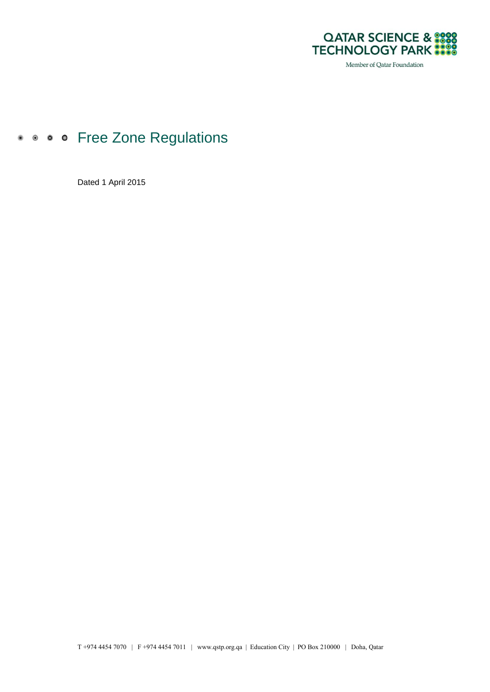

Member of Qatar Foundation

# • • • • Free Zone Regulations

Dated 1 April 2015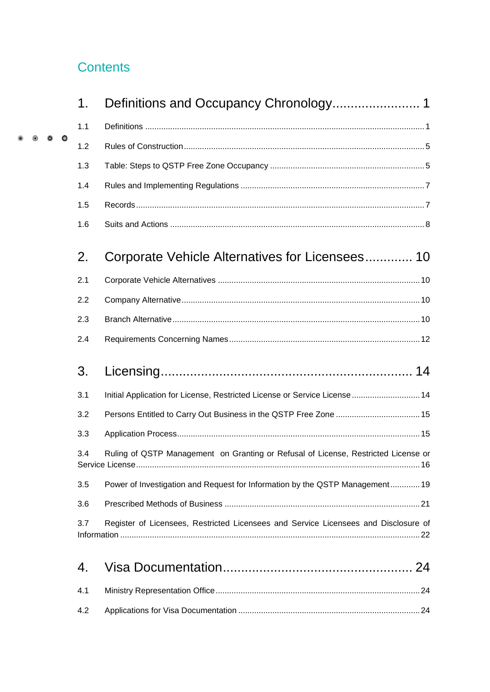## **Contents**

 $\circledast$ 

|  |           | 1.  |                                                                                                             |  |
|--|-----------|-----|-------------------------------------------------------------------------------------------------------------|--|
|  |           | 1.1 |                                                                                                             |  |
|  | $\bullet$ | 1.2 |                                                                                                             |  |
|  |           | 1.3 |                                                                                                             |  |
|  |           | 1.4 |                                                                                                             |  |
|  |           | 1.5 |                                                                                                             |  |
|  |           | 1.6 |                                                                                                             |  |
|  |           | 2.  | Corporate Vehicle Alternatives for Licensees 10                                                             |  |
|  |           | 2.1 |                                                                                                             |  |
|  |           | 2.2 |                                                                                                             |  |
|  |           | 2.3 |                                                                                                             |  |
|  |           | 2.4 |                                                                                                             |  |
|  |           | 3.  |                                                                                                             |  |
|  |           | 3.1 | Initial Application for License, Restricted License or Service License  14                                  |  |
|  |           | 3.2 | Persons Entitled to Carry Out Business in the QSTP Free Zone  15                                            |  |
|  |           | 3.3 |                                                                                                             |  |
|  |           | 3.4 | Ruling of QSTP Management on Granting or Refusal of License, Restricted License or<br>Service License<br>16 |  |
|  |           | 3.5 | Power of Investigation and Request for Information by the QSTP Management 19                                |  |
|  |           | 3.6 |                                                                                                             |  |
|  |           | 3.7 | Register of Licensees, Restricted Licensees and Service Licensees and Disclosure of                         |  |
|  |           | 4.  |                                                                                                             |  |
|  |           | 4.1 |                                                                                                             |  |
|  |           | 4.2 |                                                                                                             |  |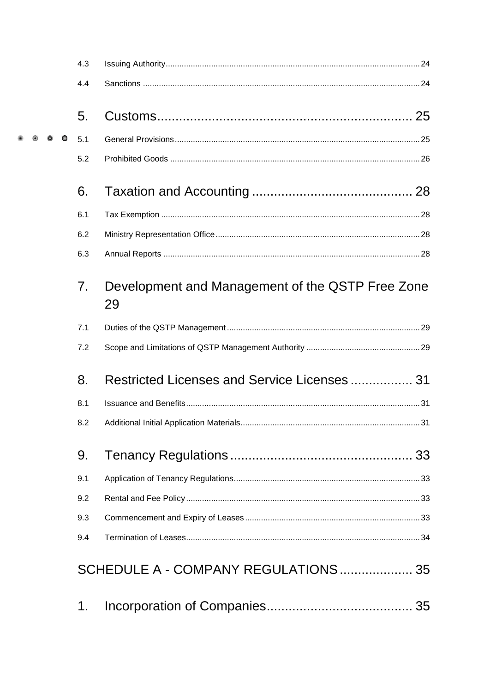|  |  | 4.3            |                                                        |  |
|--|--|----------------|--------------------------------------------------------|--|
|  |  | 4.4            |                                                        |  |
|  |  | 5.             |                                                        |  |
|  |  | 5.1            |                                                        |  |
|  |  | 5.2            |                                                        |  |
|  |  | 6.             |                                                        |  |
|  |  | 6.1            |                                                        |  |
|  |  | 6.2            |                                                        |  |
|  |  | 6.3            |                                                        |  |
|  |  | 7 <sub>1</sub> | Development and Management of the QSTP Free Zone<br>29 |  |
|  |  | 7.1            |                                                        |  |
|  |  | 7.2            |                                                        |  |
|  |  | 8.             | Restricted Licenses and Service Licenses  31           |  |
|  |  | 8.1            |                                                        |  |
|  |  | 8.2            |                                                        |  |
|  |  | 9.             |                                                        |  |
|  |  | 9.1            |                                                        |  |
|  |  | 9.2            |                                                        |  |
|  |  | 9.3            |                                                        |  |
|  |  | 9.4            |                                                        |  |
|  |  |                | SCHEDULE A - COMPANY REGULATIONS  35                   |  |
|  |  | 1.             |                                                        |  |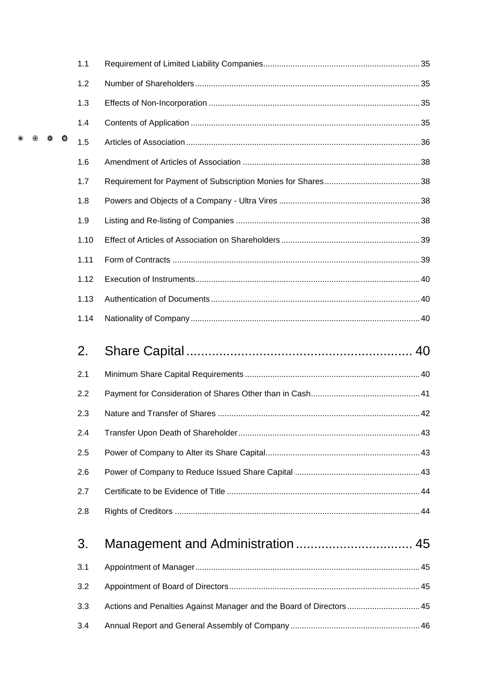|  |  | 1.1  |                                                                     |  |
|--|--|------|---------------------------------------------------------------------|--|
|  |  | 1.2  |                                                                     |  |
|  |  | 1.3  |                                                                     |  |
|  |  | 1.4  |                                                                     |  |
|  |  | 1.5  |                                                                     |  |
|  |  | 1.6  |                                                                     |  |
|  |  | 1.7  |                                                                     |  |
|  |  | 1.8  |                                                                     |  |
|  |  | 1.9  |                                                                     |  |
|  |  | 1.10 |                                                                     |  |
|  |  | 1.11 |                                                                     |  |
|  |  | 1.12 |                                                                     |  |
|  |  | 1.13 |                                                                     |  |
|  |  | 1.14 |                                                                     |  |
|  |  |      |                                                                     |  |
|  |  | 2.   |                                                                     |  |
|  |  | 2.1  |                                                                     |  |
|  |  | 2.2  |                                                                     |  |
|  |  | 2.3  |                                                                     |  |
|  |  | 2.4  |                                                                     |  |
|  |  | 2.5  |                                                                     |  |
|  |  | 2.6  |                                                                     |  |
|  |  | 2.7  |                                                                     |  |
|  |  | 2.8  |                                                                     |  |
|  |  | 3.   |                                                                     |  |
|  |  | 3.1  |                                                                     |  |
|  |  | 3.2  |                                                                     |  |
|  |  | 3.3  | Actions and Penalties Against Manager and the Board of Directors 45 |  |
|  |  | 3.4  |                                                                     |  |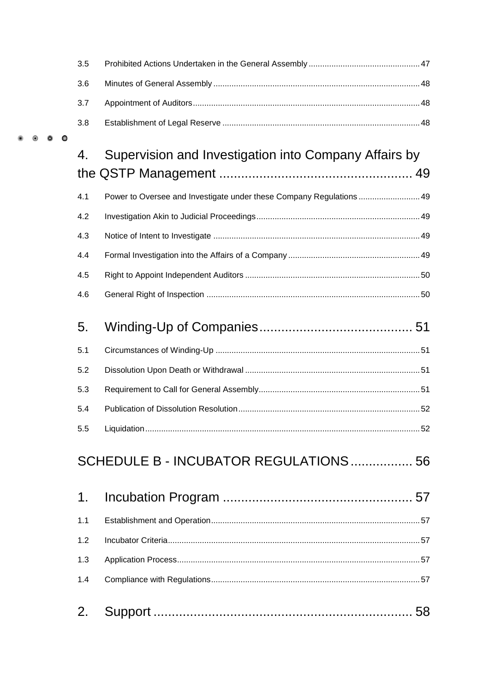|  | 3.5 |                                                                      |     |
|--|-----|----------------------------------------------------------------------|-----|
|  | 3.6 |                                                                      |     |
|  | 3.7 |                                                                      |     |
|  | 3.8 |                                                                      |     |
|  | 4.  | Supervision and Investigation into Company Affairs by                |     |
|  |     |                                                                      |     |
|  | 4.1 | Power to Oversee and Investigate under these Company Regulations  49 |     |
|  | 4.2 |                                                                      |     |
|  | 4.3 |                                                                      |     |
|  | 4.4 |                                                                      |     |
|  | 4.5 |                                                                      |     |
|  | 4.6 |                                                                      |     |
|  |     |                                                                      |     |
|  | 5.  |                                                                      |     |
|  | 5.1 |                                                                      |     |
|  | 5.2 |                                                                      |     |
|  | 5.3 |                                                                      |     |
|  | 5.4 |                                                                      |     |
|  | 55. | Liquidation                                                          | .52 |
|  |     | SCHEDULE B - INCUBATOR REGULATIONS 56                                |     |
|  |     |                                                                      |     |
|  | 1.  |                                                                      |     |
|  | 1.1 |                                                                      |     |
|  | 1.2 |                                                                      |     |
|  | 1.3 |                                                                      |     |
|  | 1.4 |                                                                      |     |
|  | 2.  |                                                                      | 58  |
|  |     |                                                                      |     |

 $\circledast$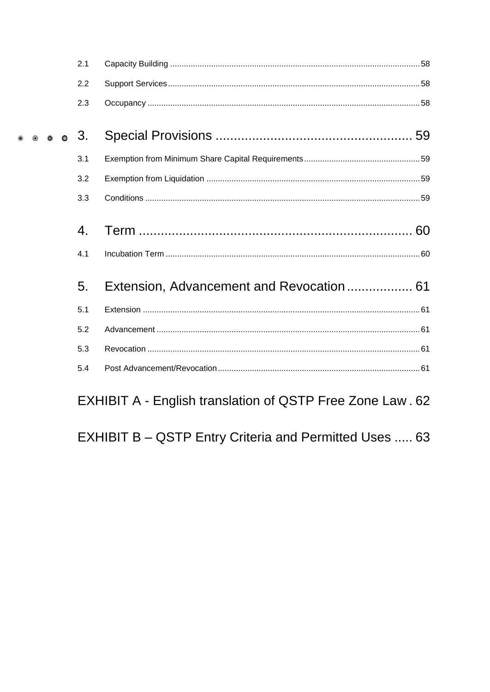|                        | 2.1 |                                                           |
|------------------------|-----|-----------------------------------------------------------|
|                        | 2.2 |                                                           |
|                        | 2.3 |                                                           |
| $\bullet$ $\bullet$ 3. |     |                                                           |
|                        | 3.1 |                                                           |
|                        | 3.2 |                                                           |
|                        | 3.3 |                                                           |
|                        | 4.  |                                                           |
|                        | 4.1 |                                                           |
|                        | 5.  |                                                           |
|                        | 5.1 |                                                           |
|                        | 5.2 |                                                           |
|                        | 5.3 |                                                           |
|                        | 5.4 |                                                           |
|                        |     | EXHIBIT A - English translation of QSTP Free Zone Law. 62 |

EXHIBIT B - QSTP Entry Criteria and Permitted Uses ..... 63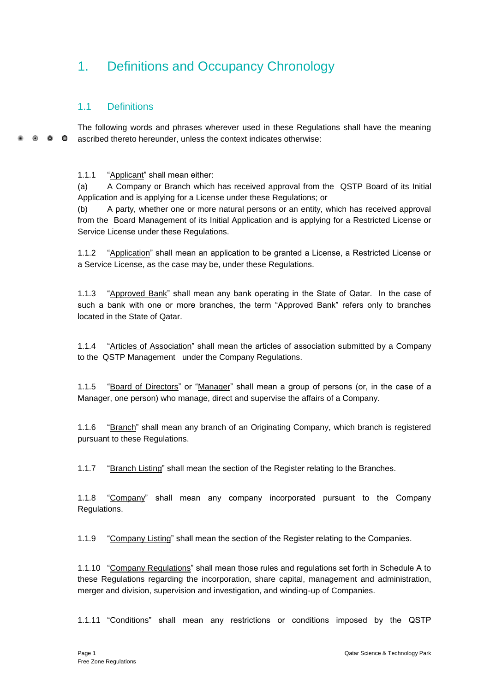# <span id="page-6-0"></span>1. Definitions and Occupancy Chronology

## <span id="page-6-1"></span>1.1 Definitions

The following words and phrases wherever used in these Regulations shall have the meaning  $\bullet$   $\bullet$  $\bullet$ ascribed thereto hereunder, unless the context indicates otherwise:

1.1.1 "Applicant" shall mean either:

(a) A Company or Branch which has received approval from the QSTP Board of its Initial Application and is applying for a License under these Regulations; or

(b) A party, whether one or more natural persons or an entity, which has received approval from the Board Management of its Initial Application and is applying for a Restricted License or Service License under these Regulations.

1.1.2 "Application" shall mean an application to be granted a License, a Restricted License or a Service License, as the case may be, under these Regulations.

1.1.3 "Approved Bank" shall mean any bank operating in the State of Qatar. In the case of such a bank with one or more branches, the term "Approved Bank" refers only to branches located in the State of Qatar.

1.1.4 "Articles of Association" shall mean the articles of association submitted by a Company to the QSTP Management under the Company Regulations.

1.1.5 "Board of Directors" or "Manager" shall mean a group of persons (or, in the case of a Manager, one person) who manage, direct and supervise the affairs of a Company.

1.1.6 "Branch" shall mean any branch of an Originating Company, which branch is registered pursuant to these Regulations.

1.1.7 "Branch Listing" shall mean the section of the Register relating to the Branches.

1.1.8 "Company" shall mean any company incorporated pursuant to the Company Regulations.

1.1.9 "Company Listing" shall mean the section of the Register relating to the Companies.

1.1.10 "Company Regulations" shall mean those rules and regulations set forth in Schedule A to these Regulations regarding the incorporation, share capital, management and administration, merger and division, supervision and investigation, and winding-up of Companies.

1.1.11 "Conditions" shall mean any restrictions or conditions imposed by the QSTP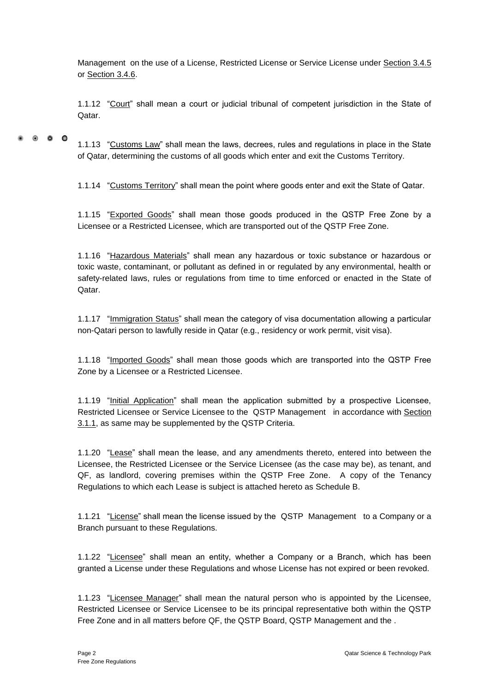Management on the use of a License, Restricted License or Service License under Section 3.4.5 or Section 3.4.6.

1.1.12 "Court" shall mean a court or judicial tribunal of competent jurisdiction in the State of Qatar.

 $\bullet$   $\bullet$   $\bullet$ 

1.1.13 "Customs Law" shall mean the laws, decrees, rules and regulations in place in the State of Qatar, determining the customs of all goods which enter and exit the Customs Territory.

1.1.14 "Customs Territory" shall mean the point where goods enter and exit the State of Qatar.

1.1.15 "Exported Goods" shall mean those goods produced in the QSTP Free Zone by a Licensee or a Restricted Licensee, which are transported out of the QSTP Free Zone.

1.1.16 "Hazardous Materials" shall mean any hazardous or toxic substance or hazardous or toxic waste, contaminant, or pollutant as defined in or regulated by any environmental, health or safety-related laws, rules or regulations from time to time enforced or enacted in the State of Qatar.

1.1.17 "Immigration Status" shall mean the category of visa documentation allowing a particular non-Qatari person to lawfully reside in Qatar (e.g., residency or work permit, visit visa).

1.1.18 "Imported Goods" shall mean those goods which are transported into the QSTP Free Zone by a Licensee or a Restricted Licensee.

1.1.19 "Initial Application" shall mean the application submitted by a prospective Licensee, Restricted Licensee or Service Licensee to the QSTP Management in accordance with Section 3.1.1, as same may be supplemented by the QSTP Criteria.

1.1.20 "Lease" shall mean the lease, and any amendments thereto, entered into between the Licensee, the Restricted Licensee or the Service Licensee (as the case may be), as tenant, and QF, as landlord, covering premises within the QSTP Free Zone. A copy of the Tenancy Regulations to which each Lease is subject is attached hereto as Schedule B.

1.1.21 "License" shall mean the license issued by the QSTP Management to a Company or a Branch pursuant to these Regulations.

1.1.22 "Licensee" shall mean an entity, whether a Company or a Branch, which has been granted a License under these Regulations and whose License has not expired or been revoked.

1.1.23 "Licensee Manager" shall mean the natural person who is appointed by the Licensee, Restricted Licensee or Service Licensee to be its principal representative both within the QSTP Free Zone and in all matters before QF, the QSTP Board, QSTP Management and the .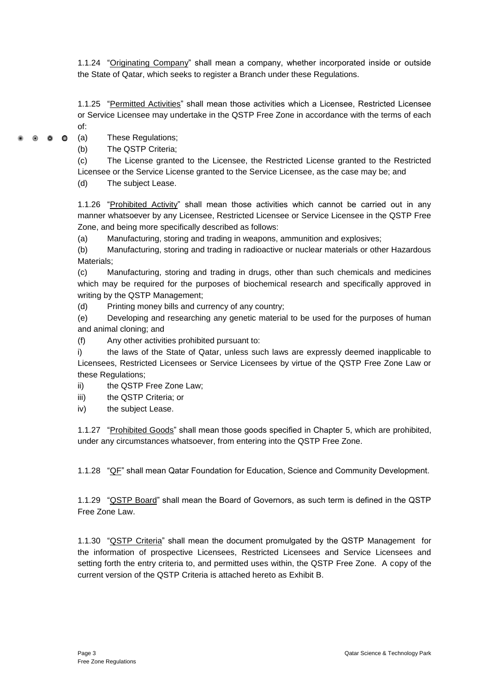1.1.24 "Originating Company" shall mean a company, whether incorporated inside or outside the State of Qatar, which seeks to register a Branch under these Regulations.

1.1.25 "Permitted Activities" shall mean those activities which a Licensee, Restricted Licensee or Service Licensee may undertake in the QSTP Free Zone in accordance with the terms of each of:

 $\bullet$   $\bullet$   $\bullet$ 

(a) These Regulations;

(b) The QSTP Criteria;

(c) The License granted to the Licensee, the Restricted License granted to the Restricted

Licensee or the Service License granted to the Service Licensee, as the case may be; and

(d) The subject Lease.

1.1.26 "Prohibited Activity" shall mean those activities which cannot be carried out in any manner whatsoever by any Licensee, Restricted Licensee or Service Licensee in the QSTP Free Zone, and being more specifically described as follows:

(a) Manufacturing, storing and trading in weapons, ammunition and explosives;

(b) Manufacturing, storing and trading in radioactive or nuclear materials or other Hazardous Materials;

(c) Manufacturing, storing and trading in drugs, other than such chemicals and medicines which may be required for the purposes of biochemical research and specifically approved in writing by the QSTP Management;

(d) Printing money bills and currency of any country;

(e) Developing and researching any genetic material to be used for the purposes of human and animal cloning; and

(f) Any other activities prohibited pursuant to:

i) the laws of the State of Qatar, unless such laws are expressly deemed inapplicable to Licensees, Restricted Licensees or Service Licensees by virtue of the QSTP Free Zone Law or these Regulations;

ii) the QSTP Free Zone Law:

iii) the QSTP Criteria; or

iv) the subject Lease.

1.1.27 "Prohibited Goods" shall mean those goods specified in Chapter 5, which are prohibited, under any circumstances whatsoever, from entering into the QSTP Free Zone.

1.1.28 " $QF$ " shall mean Qatar Foundation for Education, Science and Community Development.

1.1.29 "QSTP Board" shall mean the Board of Governors, as such term is defined in the QSTP Free Zone Law.

1.1.30 "QSTP Criteria" shall mean the document promulgated by the QSTP Management for the information of prospective Licensees, Restricted Licensees and Service Licensees and setting forth the entry criteria to, and permitted uses within, the QSTP Free Zone. A copy of the current version of the QSTP Criteria is attached hereto as Exhibit B.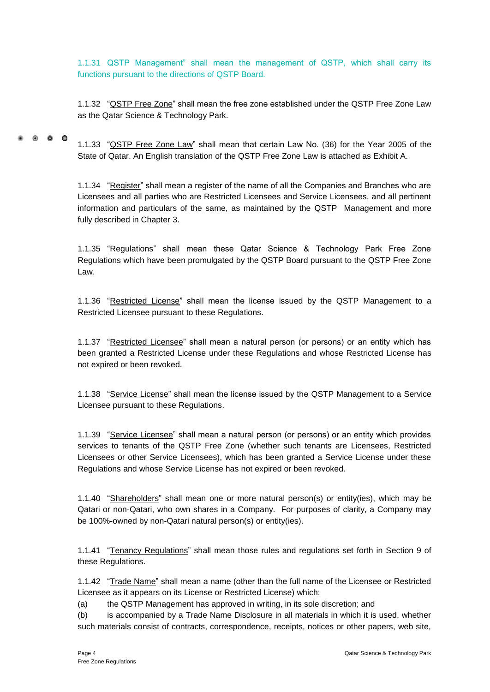1.1.31 QSTP Management" shall mean the management of QSTP, which shall carry its functions pursuant to the directions of QSTP Board.

1.1.32 "QSTP Free Zone" shall mean the free zone established under the QSTP Free Zone Law as the Qatar Science & Technology Park.

 $\bullet$   $\bullet$   $\bullet$ 1.1.33 "QSTP Free Zone Law" shall mean that certain Law No. (36) for the Year 2005 of the State of Qatar. An English translation of the QSTP Free Zone Law is attached as Exhibit A.

> 1.1.34 "Register" shall mean a register of the name of all the Companies and Branches who are Licensees and all parties who are Restricted Licensees and Service Licensees, and all pertinent information and particulars of the same, as maintained by the QSTP Management and more fully described in Chapter 3.

> 1.1.35 "Regulations" shall mean these Qatar Science & Technology Park Free Zone Regulations which have been promulgated by the QSTP Board pursuant to the QSTP Free Zone Law.

> 1.1.36 "Restricted License" shall mean the license issued by the QSTP Management to a Restricted Licensee pursuant to these Regulations.

> 1.1.37 "Restricted Licensee" shall mean a natural person (or persons) or an entity which has been granted a Restricted License under these Regulations and whose Restricted License has not expired or been revoked.

> 1.1.38 "Service License" shall mean the license issued by the QSTP Management to a Service Licensee pursuant to these Regulations.

> 1.1.39 "Service Licensee" shall mean a natural person (or persons) or an entity which provides services to tenants of the QSTP Free Zone (whether such tenants are Licensees, Restricted Licensees or other Service Licensees), which has been granted a Service License under these Regulations and whose Service License has not expired or been revoked.

> 1.1.40 "Shareholders" shall mean one or more natural person(s) or entity(ies), which may be Qatari or non-Qatari, who own shares in a Company. For purposes of clarity, a Company may be 100%-owned by non-Qatari natural person(s) or entity(ies).

> 1.1.41 "Tenancy Regulations" shall mean those rules and regulations set forth in Section 9 of these Regulations.

> 1.1.42 "Trade Name" shall mean a name (other than the full name of the Licensee or Restricted Licensee as it appears on its License or Restricted License) which:

(a) the QSTP Management has approved in writing, in its sole discretion; and

(b) is accompanied by a Trade Name Disclosure in all materials in which it is used, whether such materials consist of contracts, correspondence, receipts, notices or other papers, web site,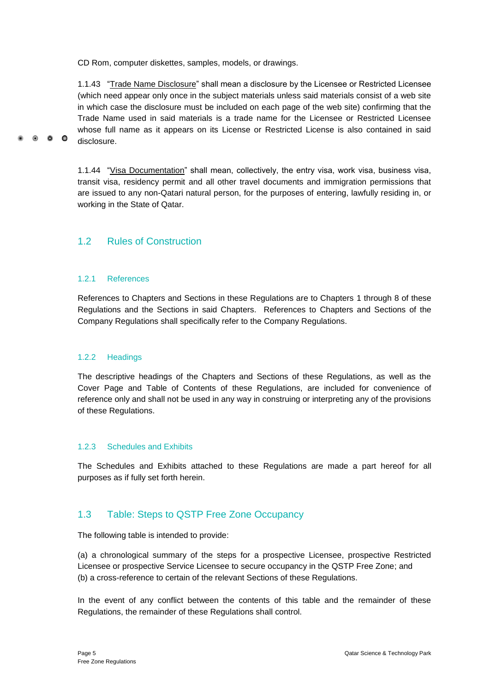CD Rom, computer diskettes, samples, models, or drawings.

1.1.43 "Trade Name Disclosure" shall mean a disclosure by the Licensee or Restricted Licensee (which need appear only once in the subject materials unless said materials consist of a web site in which case the disclosure must be included on each page of the web site) confirming that the Trade Name used in said materials is a trade name for the Licensee or Restricted Licensee whose full name as it appears on its License or Restricted License is also contained in said disclosure.

1.1.44 "Visa Documentation" shall mean, collectively, the entry visa, work visa, business visa, transit visa, residency permit and all other travel documents and immigration permissions that are issued to any non-Qatari natural person, for the purposes of entering, lawfully residing in, or working in the State of Qatar.

### <span id="page-10-0"></span>1.2 Rules of Construction

#### 1.2.1 References

 $\bullet$   $\bullet$ 

 $\bullet$ 

References to Chapters and Sections in these Regulations are to Chapters 1 through 8 of these Regulations and the Sections in said Chapters. References to Chapters and Sections of the Company Regulations shall specifically refer to the Company Regulations.

#### 1.2.2 Headings

The descriptive headings of the Chapters and Sections of these Regulations, as well as the Cover Page and Table of Contents of these Regulations, are included for convenience of reference only and shall not be used in any way in construing or interpreting any of the provisions of these Regulations.

#### 1.2.3 Schedules and Exhibits

The Schedules and Exhibits attached to these Regulations are made a part hereof for all purposes as if fully set forth herein.

## <span id="page-10-1"></span>1.3 Table: Steps to QSTP Free Zone Occupancy

The following table is intended to provide:

(a) a chronological summary of the steps for a prospective Licensee, prospective Restricted Licensee or prospective Service Licensee to secure occupancy in the QSTP Free Zone; and (b) a cross-reference to certain of the relevant Sections of these Regulations.

In the event of any conflict between the contents of this table and the remainder of these Regulations, the remainder of these Regulations shall control.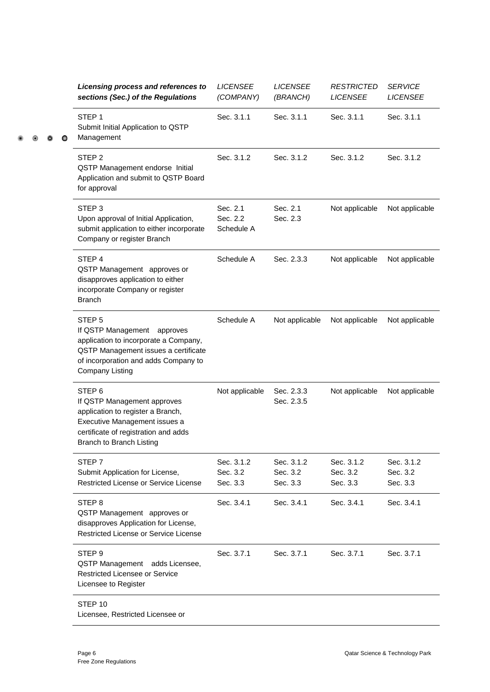|  |  |  | Licensing process and references to<br>sections (Sec.) of the Regulations                                                                                                                           | <b>LICENSEE</b><br>(COMPANY)       | <b>LICENSEE</b><br>(BRANCH)        | <b>RESTRICTED</b><br><b>LICENSEE</b> | <b>SERVICE</b><br><b>LICENSEE</b>  |
|--|--|--|-----------------------------------------------------------------------------------------------------------------------------------------------------------------------------------------------------|------------------------------------|------------------------------------|--------------------------------------|------------------------------------|
|  |  |  | STEP <sub>1</sub><br>Submit Initial Application to QSTP<br>Management                                                                                                                               | Sec. 3.1.1                         | Sec. 3.1.1                         | Sec. 3.1.1                           | Sec. 3.1.1                         |
|  |  |  | STEP <sub>2</sub><br>QSTP Management endorse Initial<br>Application and submit to QSTP Board<br>for approval                                                                                        | Sec. 3.1.2                         | Sec. 3.1.2                         | Sec. 3.1.2                           | Sec. 3.1.2                         |
|  |  |  | STEP <sub>3</sub><br>Upon approval of Initial Application,<br>submit application to either incorporate<br>Company or register Branch                                                                | Sec. 2.1<br>Sec. 2.2<br>Schedule A | Sec. 2.1<br>Sec. 2.3               | Not applicable                       | Not applicable                     |
|  |  |  | STEP <sub>4</sub><br>QSTP Management approves or<br>disapproves application to either<br>incorporate Company or register<br><b>Branch</b>                                                           | Schedule A                         | Sec. 2.3.3                         | Not applicable                       | Not applicable                     |
|  |  |  | STEP <sub>5</sub><br>If QSTP Management approves<br>application to incorporate a Company,<br>QSTP Management issues a certificate<br>of incorporation and adds Company to<br><b>Company Listing</b> | Schedule A                         | Not applicable                     | Not applicable                       | Not applicable                     |
|  |  |  | STEP <sub>6</sub><br>If QSTP Management approves<br>application to register a Branch,<br>Executive Management issues a<br>certificate of registration and adds<br>Branch to Branch Listing          | Not applicable                     | Sec. 2.3.3<br>Sec. 2.3.5           | Not applicable                       | Not applicable                     |
|  |  |  | STEP 7<br>Submit Application for License,<br>Restricted License or Service License                                                                                                                  | Sec. 3.1.2<br>Sec. 3.2<br>Sec. 3.3 | Sec. 3.1.2<br>Sec. 3.2<br>Sec. 3.3 | Sec. 3.1.2<br>Sec. 3.2<br>Sec. 3.3   | Sec. 3.1.2<br>Sec. 3.2<br>Sec. 3.3 |
|  |  |  | STEP <sub>8</sub><br>QSTP Management approves or<br>disapproves Application for License,<br>Restricted License or Service License                                                                   | Sec. 3.4.1                         | Sec. 3.4.1                         | Sec. 3.4.1                           | Sec. 3.4.1                         |
|  |  |  | STEP <sub>9</sub><br>QSTP Management adds Licensee,<br>Restricted Licensee or Service<br>Licensee to Register                                                                                       | Sec. 3.7.1                         | Sec. 3.7.1                         | Sec. 3.7.1                           | Sec. 3.7.1                         |
|  |  |  | STEP 10<br>Licensee, Restricted Licensee or                                                                                                                                                         |                                    |                                    |                                      |                                    |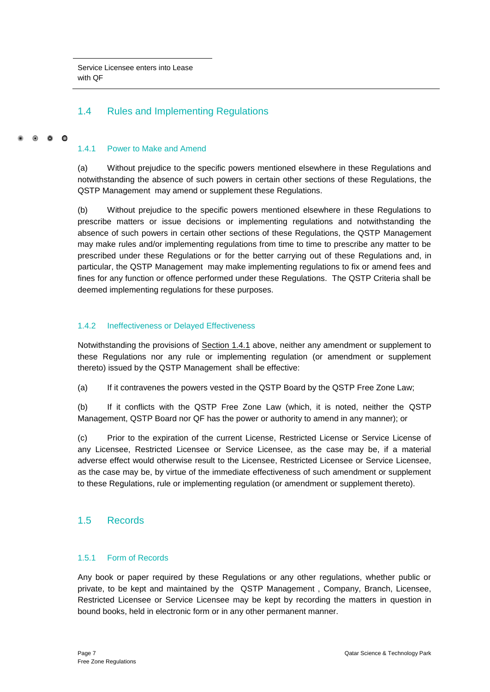## <span id="page-12-0"></span>1.4 Rules and Implementing Regulations

#### 0 0 0

#### 1.4.1 Power to Make and Amend

(a) Without prejudice to the specific powers mentioned elsewhere in these Regulations and notwithstanding the absence of such powers in certain other sections of these Regulations, the QSTP Management may amend or supplement these Regulations.

(b) Without prejudice to the specific powers mentioned elsewhere in these Regulations to prescribe matters or issue decisions or implementing regulations and notwithstanding the absence of such powers in certain other sections of these Regulations, the QSTP Management may make rules and/or implementing regulations from time to time to prescribe any matter to be prescribed under these Regulations or for the better carrying out of these Regulations and, in particular, the QSTP Management may make implementing regulations to fix or amend fees and fines for any function or offence performed under these Regulations. The QSTP Criteria shall be deemed implementing regulations for these purposes.

#### 1.4.2 Ineffectiveness or Delayed Effectiveness

Notwithstanding the provisions of Section 1.4.1 above, neither any amendment or supplement to these Regulations nor any rule or implementing regulation (or amendment or supplement thereto) issued by the QSTP Management shall be effective:

(a) If it contravenes the powers vested in the QSTP Board by the QSTP Free Zone Law;

(b) If it conflicts with the QSTP Free Zone Law (which, it is noted, neither the QSTP Management, QSTP Board nor QF has the power or authority to amend in any manner); or

(c) Prior to the expiration of the current License, Restricted License or Service License of any Licensee, Restricted Licensee or Service Licensee, as the case may be, if a material adverse effect would otherwise result to the Licensee, Restricted Licensee or Service Licensee, as the case may be, by virtue of the immediate effectiveness of such amendment or supplement to these Regulations, rule or implementing regulation (or amendment or supplement thereto).

### <span id="page-12-1"></span>1.5 Records

#### 1.5.1 Form of Records

Any book or paper required by these Regulations or any other regulations, whether public or private, to be kept and maintained by the QSTP Management , Company, Branch, Licensee, Restricted Licensee or Service Licensee may be kept by recording the matters in question in bound books, held in electronic form or in any other permanent manner.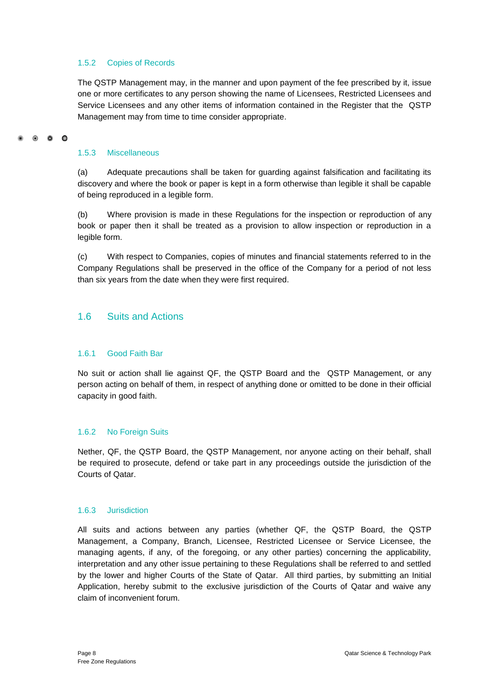#### 1.5.2 Copies of Records

The QSTP Management may, in the manner and upon payment of the fee prescribed by it, issue one or more certificates to any person showing the name of Licensees, Restricted Licensees and Service Licensees and any other items of information contained in the Register that the QSTP Management may from time to time consider appropriate.

#### 0 0 0

#### 1.5.3 Miscellaneous

(a) Adequate precautions shall be taken for guarding against falsification and facilitating its discovery and where the book or paper is kept in a form otherwise than legible it shall be capable of being reproduced in a legible form.

(b) Where provision is made in these Regulations for the inspection or reproduction of any book or paper then it shall be treated as a provision to allow inspection or reproduction in a legible form.

(c) With respect to Companies, copies of minutes and financial statements referred to in the Company Regulations shall be preserved in the office of the Company for a period of not less than six years from the date when they were first required.

### <span id="page-13-0"></span>1.6 Suits and Actions

#### 1.6.1 Good Faith Bar

No suit or action shall lie against QF, the QSTP Board and the QSTP Management, or any person acting on behalf of them, in respect of anything done or omitted to be done in their official capacity in good faith.

#### 1.6.2 No Foreign Suits

Nether, QF, the QSTP Board, the QSTP Management, nor anyone acting on their behalf, shall be required to prosecute, defend or take part in any proceedings outside the jurisdiction of the Courts of Qatar.

#### 1.6.3 Jurisdiction

All suits and actions between any parties (whether QF, the QSTP Board, the QSTP Management, a Company, Branch, Licensee, Restricted Licensee or Service Licensee, the managing agents, if any, of the foregoing, or any other parties) concerning the applicability, interpretation and any other issue pertaining to these Regulations shall be referred to and settled by the lower and higher Courts of the State of Qatar. All third parties, by submitting an Initial Application, hereby submit to the exclusive jurisdiction of the Courts of Qatar and waive any claim of inconvenient forum.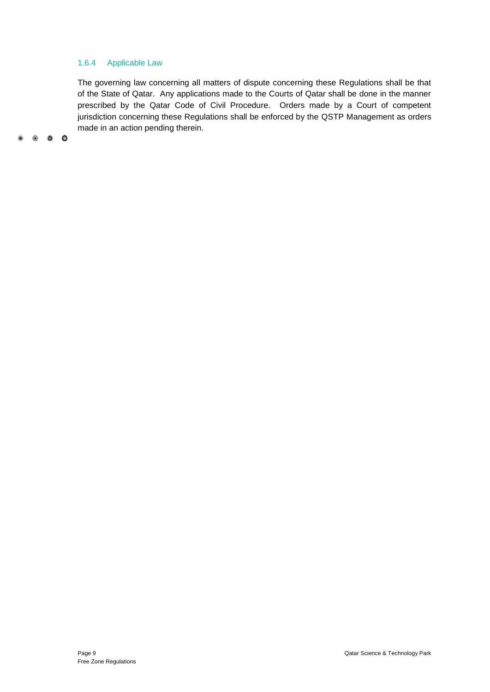#### 1.6.4 Applicable Law

The governing law concerning all matters of dispute concerning these Regulations shall be that of the State of Qatar. Any applications made to the Courts of Qatar shall be done in the manner prescribed by the Qatar Code of Civil Procedure. Orders made by a Court of competent jurisdiction concerning these Regulations shall be enforced by the QSTP Management as orders made in an action pending therein.

 $\begin{array}{ccccccccccccccccc} \bullet & \circ & \circ & \circ & \circ & \circ \end{array}$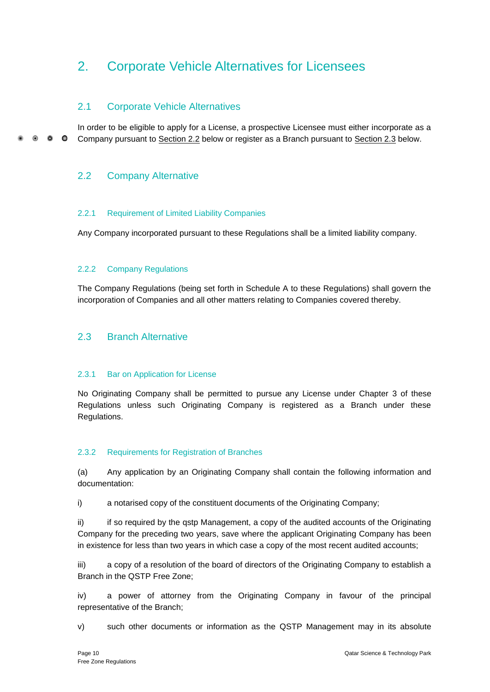## <span id="page-15-0"></span>2. Corporate Vehicle Alternatives for Licensees

## <span id="page-15-1"></span>2.1 Corporate Vehicle Alternatives

In order to be eligible to apply for a License, a prospective Licensee must either incorporate as a  $\bullet$   $\bullet$  $\bullet$ Company pursuant to Section 2.2 below or register as a Branch pursuant to Section 2.3 below.

## <span id="page-15-2"></span>2.2 Company Alternative

#### 2.2.1 Requirement of Limited Liability Companies

Any Company incorporated pursuant to these Regulations shall be a limited liability company.

### 2.2.2 Company Regulations

The Company Regulations (being set forth in Schedule A to these Regulations) shall govern the incorporation of Companies and all other matters relating to Companies covered thereby.

### <span id="page-15-3"></span>2.3 Branch Alternative

#### 2.3.1 Bar on Application for License

No Originating Company shall be permitted to pursue any License under Chapter 3 of these Regulations unless such Originating Company is registered as a Branch under these Regulations.

#### 2.3.2 Requirements for Registration of Branches

(a) Any application by an Originating Company shall contain the following information and documentation:

i) a notarised copy of the constituent documents of the Originating Company;

ii) if so required by the qstp Management, a copy of the audited accounts of the Originating Company for the preceding two years, save where the applicant Originating Company has been in existence for less than two years in which case a copy of the most recent audited accounts;

iii) a copy of a resolution of the board of directors of the Originating Company to establish a Branch in the QSTP Free Zone;

iv) a power of attorney from the Originating Company in favour of the principal representative of the Branch;

v) such other documents or information as the QSTP Management may in its absolute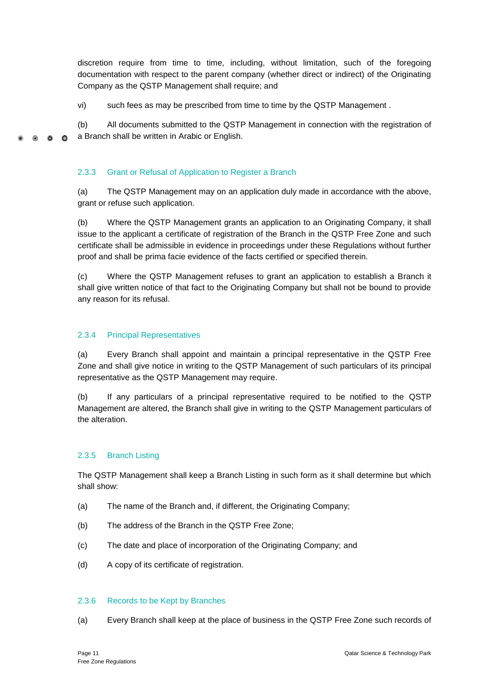discretion require from time to time, including, without limitation, such of the foregoing documentation with respect to the parent company (whether direct or indirect) of the Originating Company as the QSTP Management shall require; and

vi) such fees as may be prescribed from time to time by the QSTP Management .

(b) All documents submitted to the QSTP Management in connection with the registration of a Branch shall be written in Arabic or English.  $\bullet$   $\bullet$  $\bullet$ 

#### 2.3.3 Grant or Refusal of Application to Register a Branch

(a) The QSTP Management may on an application duly made in accordance with the above, grant or refuse such application.

(b) Where the QSTP Management grants an application to an Originating Company, it shall issue to the applicant a certificate of registration of the Branch in the QSTP Free Zone and such certificate shall be admissible in evidence in proceedings under these Regulations without further proof and shall be prima facie evidence of the facts certified or specified therein.

(c) Where the QSTP Management refuses to grant an application to establish a Branch it shall give written notice of that fact to the Originating Company but shall not be bound to provide any reason for its refusal.

#### 2.3.4 Principal Representatives

(a) Every Branch shall appoint and maintain a principal representative in the QSTP Free Zone and shall give notice in writing to the QSTP Management of such particulars of its principal representative as the QSTP Management may require.

(b) If any particulars of a principal representative required to be notified to the QSTP Management are altered, the Branch shall give in writing to the QSTP Management particulars of the alteration.

#### 2.3.5 Branch Listing

The QSTP Management shall keep a Branch Listing in such form as it shall determine but which shall show:

- (a) The name of the Branch and, if different, the Originating Company;
- (b) The address of the Branch in the QSTP Free Zone;
- (c) The date and place of incorporation of the Originating Company; and
- (d) A copy of its certificate of registration.

#### 2.3.6 Records to be Kept by Branches

(a) Every Branch shall keep at the place of business in the QSTP Free Zone such records of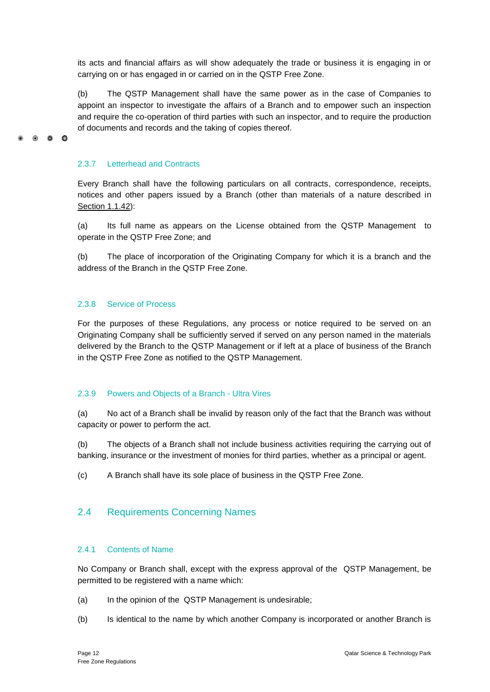its acts and financial affairs as will show adequately the trade or business it is engaging in or carrying on or has engaged in or carried on in the QSTP Free Zone.

(b) The QSTP Management shall have the same power as in the case of Companies to appoint an inspector to investigate the affairs of a Branch and to empower such an inspection and require the co-operation of third parties with such an inspector, and to require the production of documents and records and the taking of copies thereof.

#### 2.3.7 Letterhead and Contracts

 $\bullet$   $\bullet$ 

 $\bullet$ 

Every Branch shall have the following particulars on all contracts, correspondence, receipts, notices and other papers issued by a Branch (other than materials of a nature described in Section 1.1.42):

(a) Its full name as appears on the License obtained from the QSTP Management to operate in the QSTP Free Zone; and

(b) The place of incorporation of the Originating Company for which it is a branch and the address of the Branch in the QSTP Free Zone.

#### 2.3.8 Service of Process

For the purposes of these Regulations, any process or notice required to be served on an Originating Company shall be sufficiently served if served on any person named in the materials delivered by the Branch to the QSTP Management or if left at a place of business of the Branch in the QSTP Free Zone as notified to the QSTP Management.

#### 2.3.9 Powers and Objects of a Branch - Ultra Vires

(a) No act of a Branch shall be invalid by reason only of the fact that the Branch was without capacity or power to perform the act.

(b) The objects of a Branch shall not include business activities requiring the carrying out of banking, insurance or the investment of monies for third parties, whether as a principal or agent.

(c) A Branch shall have its sole place of business in the QSTP Free Zone.

### <span id="page-17-0"></span>2.4 Requirements Concerning Names

#### 2.4.1 Contents of Name

No Company or Branch shall, except with the express approval of the QSTP Management, be permitted to be registered with a name which:

- (a) In the opinion of the QSTP Management is undesirable;
- (b) Is identical to the name by which another Company is incorporated or another Branch is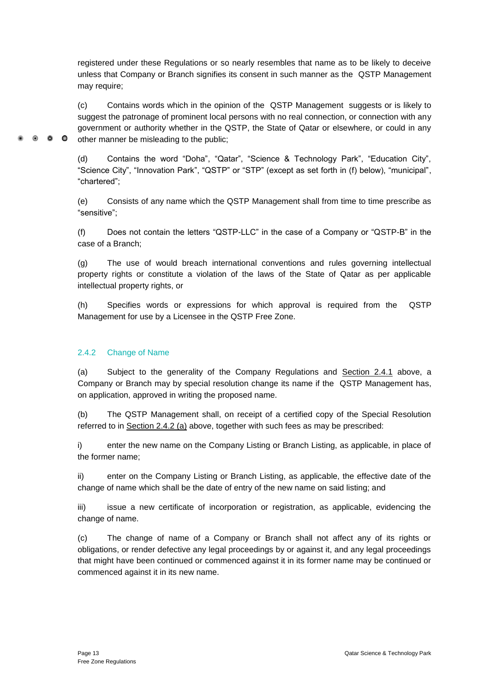registered under these Regulations or so nearly resembles that name as to be likely to deceive unless that Company or Branch signifies its consent in such manner as the QSTP Management may require;

(c) Contains words which in the opinion of the QSTP Management suggests or is likely to suggest the patronage of prominent local persons with no real connection, or connection with any government or authority whether in the QSTP, the State of Qatar or elsewhere, or could in any other manner be misleading to the public;

(d) Contains the word "Doha", "Qatar", "Science & Technology Park", "Education City", "Science City", "Innovation Park", "QSTP" or "STP" (except as set forth in (f) below), "municipal", "chartered";

(e) Consists of any name which the QSTP Management shall from time to time prescribe as "sensitive";

(f) Does not contain the letters "QSTP-LLC" in the case of a Company or "QSTP-B" in the case of a Branch;

(g) The use of would breach international conventions and rules governing intellectual property rights or constitute a violation of the laws of the State of Qatar as per applicable intellectual property rights, or

(h) Specifies words or expressions for which approval is required from the QSTP Management for use by a Licensee in the QSTP Free Zone.

### 2.4.2 Change of Name

 $\bullet$   $\bullet$   $\bullet$ 

(a) Subject to the generality of the Company Regulations and Section 2.4.1 above, a Company or Branch may by special resolution change its name if the QSTP Management has, on application, approved in writing the proposed name.

(b) The QSTP Management shall, on receipt of a certified copy of the Special Resolution referred to in Section 2.4.2 (a) above, together with such fees as may be prescribed:

i) enter the new name on the Company Listing or Branch Listing, as applicable, in place of the former name;

ii) enter on the Company Listing or Branch Listing, as applicable, the effective date of the change of name which shall be the date of entry of the new name on said listing; and

iii) issue a new certificate of incorporation or registration, as applicable, evidencing the change of name.

(c) The change of name of a Company or Branch shall not affect any of its rights or obligations, or render defective any legal proceedings by or against it, and any legal proceedings that might have been continued or commenced against it in its former name may be continued or commenced against it in its new name.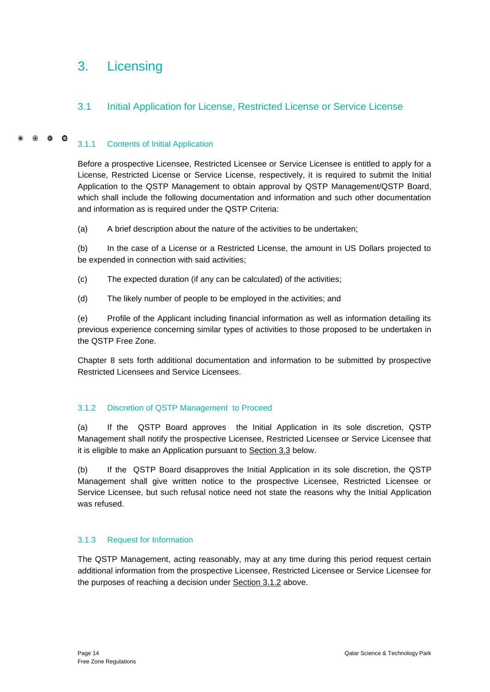## <span id="page-19-0"></span>3. Licensing

## <span id="page-19-1"></span>3.1 Initial Application for License, Restricted License or Service License

#### $\bullet$   $\bullet$   $\bullet$ 3.1.1 Contents of Initial Application

Before a prospective Licensee, Restricted Licensee or Service Licensee is entitled to apply for a License, Restricted License or Service License, respectively, it is required to submit the Initial Application to the QSTP Management to obtain approval by QSTP Management/QSTP Board, which shall include the following documentation and information and such other documentation and information as is required under the QSTP Criteria:

(a) A brief description about the nature of the activities to be undertaken;

(b) In the case of a License or a Restricted License, the amount in US Dollars projected to be expended in connection with said activities;

- (c) The expected duration (if any can be calculated) of the activities;
- (d) The likely number of people to be employed in the activities; and

(e) Profile of the Applicant including financial information as well as information detailing its previous experience concerning similar types of activities to those proposed to be undertaken in the QSTP Free Zone.

Chapter 8 sets forth additional documentation and information to be submitted by prospective Restricted Licensees and Service Licensees.

#### 3.1.2 Discretion of QSTP Management to Proceed

(a) If the QSTP Board approves the Initial Application in its sole discretion, QSTP Management shall notify the prospective Licensee, Restricted Licensee or Service Licensee that it is eligible to make an Application pursuant to Section 3.3 below.

(b) If the QSTP Board disapproves the Initial Application in its sole discretion, the QSTP Management shall give written notice to the prospective Licensee, Restricted Licensee or Service Licensee, but such refusal notice need not state the reasons why the Initial Application was refused.

#### 3.1.3 Request for Information

The QSTP Management, acting reasonably, may at any time during this period request certain additional information from the prospective Licensee, Restricted Licensee or Service Licensee for the purposes of reaching a decision under Section 3.1.2 above.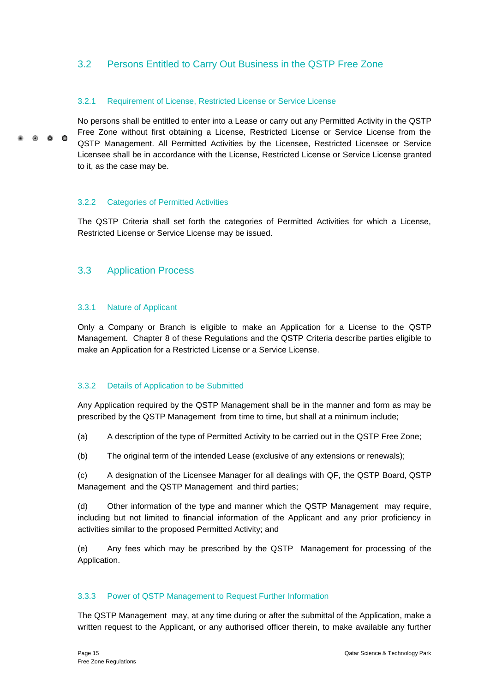## <span id="page-20-0"></span>3.2 Persons Entitled to Carry Out Business in the QSTP Free Zone

#### 3.2.1 Requirement of License, Restricted License or Service License

No persons shall be entitled to enter into a Lease or carry out any Permitted Activity in the QSTP Free Zone without first obtaining a License, Restricted License or Service License from the  $\circ$   $\circ$   $\circ$ QSTP Management. All Permitted Activities by the Licensee, Restricted Licensee or Service Licensee shall be in accordance with the License, Restricted License or Service License granted to it, as the case may be.

#### 3.2.2 Categories of Permitted Activities

The QSTP Criteria shall set forth the categories of Permitted Activities for which a License, Restricted License or Service License may be issued.

#### <span id="page-20-1"></span>3.3 Application Process

#### 3.3.1 Nature of Applicant

Only a Company or Branch is eligible to make an Application for a License to the QSTP Management. Chapter 8 of these Regulations and the QSTP Criteria describe parties eligible to make an Application for a Restricted License or a Service License.

#### 3.3.2 Details of Application to be Submitted

Any Application required by the QSTP Management shall be in the manner and form as may be prescribed by the QSTP Management from time to time, but shall at a minimum include;

(a) A description of the type of Permitted Activity to be carried out in the QSTP Free Zone;

(b) The original term of the intended Lease (exclusive of any extensions or renewals);

(c) A designation of the Licensee Manager for all dealings with QF, the QSTP Board, QSTP Management and the QSTP Management and third parties;

(d) Other information of the type and manner which the QSTP Management may require, including but not limited to financial information of the Applicant and any prior proficiency in activities similar to the proposed Permitted Activity; and

(e) Any fees which may be prescribed by the QSTP Management for processing of the Application.

#### 3.3.3 Power of QSTP Management to Request Further Information

The QSTP Management may, at any time during or after the submittal of the Application, make a written request to the Applicant, or any authorised officer therein, to make available any further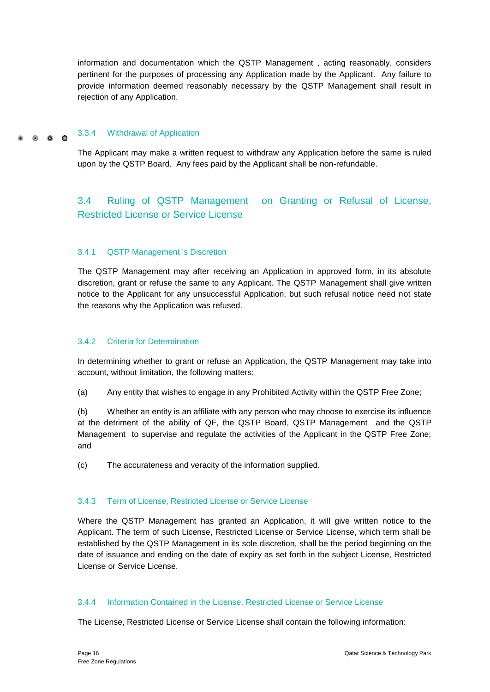information and documentation which the QSTP Management , acting reasonably, considers pertinent for the purposes of processing any Application made by the Applicant. Any failure to provide information deemed reasonably necessary by the QSTP Management shall result in rejection of any Application.

#### 3.3.4 Withdrawal of Application  $\circ$   $\circ$   $\circ$

The Applicant may make a written request to withdraw any Application before the same is ruled upon by the QSTP Board. Any fees paid by the Applicant shall be non-refundable.

<span id="page-21-0"></span>3.4 Ruling of QSTP Management on Granting or Refusal of License, Restricted License or Service License

#### 3.4.1 QSTP Management 's Discretion

The QSTP Management may after receiving an Application in approved form, in its absolute discretion, grant or refuse the same to any Applicant. The QSTP Management shall give written notice to the Applicant for any unsuccessful Application, but such refusal notice need not state the reasons why the Application was refused.

#### 3.4.2 Criteria for Determination

In determining whether to grant or refuse an Application, the QSTP Management may take into account, without limitation, the following matters:

(a) Any entity that wishes to engage in any Prohibited Activity within the QSTP Free Zone;

(b) Whether an entity is an affiliate with any person who may choose to exercise its influence at the detriment of the ability of QF, the QSTP Board, QSTP Management and the QSTP Management to supervise and regulate the activities of the Applicant in the QSTP Free Zone; and

(c) The accurateness and veracity of the information supplied.

#### 3.4.3 Term of License, Restricted License or Service License

Where the QSTP Management has granted an Application, it will give written notice to the Applicant. The term of such License, Restricted License or Service License, which term shall be established by the QSTP Management in its sole discretion, shall be the period beginning on the date of issuance and ending on the date of expiry as set forth in the subject License, Restricted License or Service License.

#### 3.4.4 Information Contained in the License, Restricted License or Service License

The License, Restricted License or Service License shall contain the following information: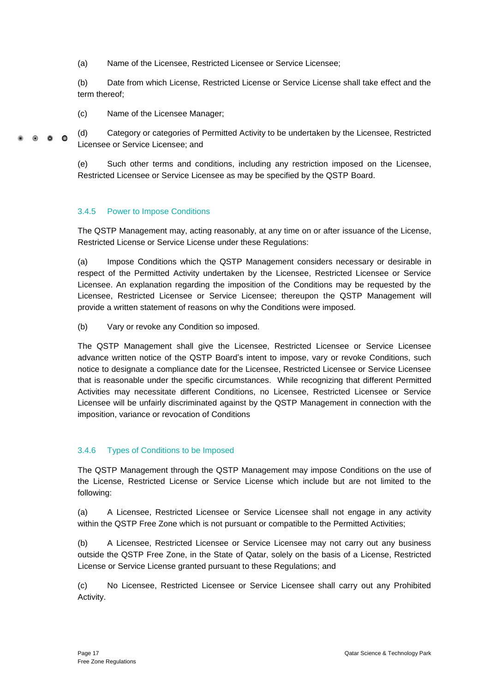(a) Name of the Licensee, Restricted Licensee or Service Licensee;

(b) Date from which License, Restricted License or Service License shall take effect and the term thereof;

(c) Name of the Licensee Manager;

(d) Category or categories of Permitted Activity to be undertaken by the Licensee, Restricted  $0.00$ Licensee or Service Licensee; and

> (e) Such other terms and conditions, including any restriction imposed on the Licensee, Restricted Licensee or Service Licensee as may be specified by the QSTP Board.

#### 3.4.5 Power to Impose Conditions

The QSTP Management may, acting reasonably, at any time on or after issuance of the License, Restricted License or Service License under these Regulations:

(a) Impose Conditions which the QSTP Management considers necessary or desirable in respect of the Permitted Activity undertaken by the Licensee, Restricted Licensee or Service Licensee. An explanation regarding the imposition of the Conditions may be requested by the Licensee, Restricted Licensee or Service Licensee; thereupon the QSTP Management will provide a written statement of reasons on why the Conditions were imposed.

(b) Vary or revoke any Condition so imposed.

The QSTP Management shall give the Licensee, Restricted Licensee or Service Licensee advance written notice of the QSTP Board's intent to impose, vary or revoke Conditions, such notice to designate a compliance date for the Licensee, Restricted Licensee or Service Licensee that is reasonable under the specific circumstances. While recognizing that different Permitted Activities may necessitate different Conditions, no Licensee, Restricted Licensee or Service Licensee will be unfairly discriminated against by the QSTP Management in connection with the imposition, variance or revocation of Conditions

#### 3.4.6 Types of Conditions to be Imposed

The QSTP Management through the QSTP Management may impose Conditions on the use of the License, Restricted License or Service License which include but are not limited to the following:

(a) A Licensee, Restricted Licensee or Service Licensee shall not engage in any activity within the QSTP Free Zone which is not pursuant or compatible to the Permitted Activities;

(b) A Licensee, Restricted Licensee or Service Licensee may not carry out any business outside the QSTP Free Zone, in the State of Qatar, solely on the basis of a License, Restricted License or Service License granted pursuant to these Regulations; and

(c) No Licensee, Restricted Licensee or Service Licensee shall carry out any Prohibited Activity.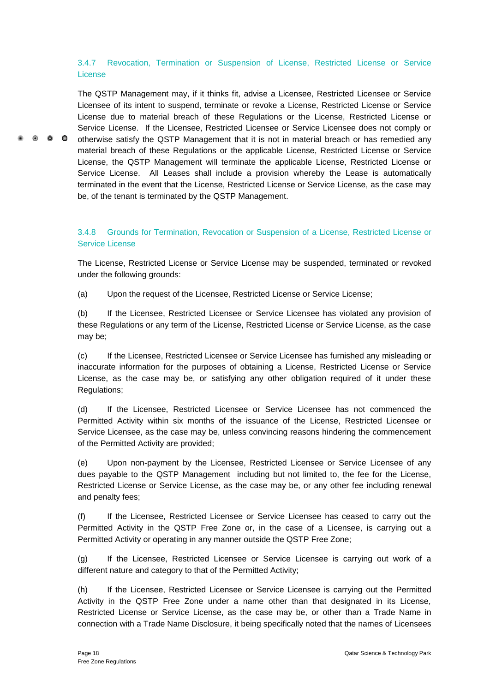### 3.4.7 Revocation, Termination or Suspension of License, Restricted License or Service License

The QSTP Management may, if it thinks fit, advise a Licensee, Restricted Licensee or Service Licensee of its intent to suspend, terminate or revoke a License, Restricted License or Service License due to material breach of these Regulations or the License, Restricted License or Service License. If the Licensee, Restricted Licensee or Service Licensee does not comply or otherwise satisfy the QSTP Management that it is not in material breach or has remedied any material breach of these Regulations or the applicable License, Restricted License or Service License, the QSTP Management will terminate the applicable License, Restricted License or Service License. All Leases shall include a provision whereby the Lease is automatically terminated in the event that the License, Restricted License or Service License, as the case may be, of the tenant is terminated by the QSTP Management.

### 3.4.8 Grounds for Termination, Revocation or Suspension of a License, Restricted License or Service License

The License, Restricted License or Service License may be suspended, terminated or revoked under the following grounds:

(a) Upon the request of the Licensee, Restricted License or Service License;

(b) If the Licensee, Restricted Licensee or Service Licensee has violated any provision of these Regulations or any term of the License, Restricted License or Service License, as the case may be;

(c) If the Licensee, Restricted Licensee or Service Licensee has furnished any misleading or inaccurate information for the purposes of obtaining a License, Restricted License or Service License, as the case may be, or satisfying any other obligation required of it under these Regulations;

(d) If the Licensee, Restricted Licensee or Service Licensee has not commenced the Permitted Activity within six months of the issuance of the License, Restricted Licensee or Service Licensee, as the case may be, unless convincing reasons hindering the commencement of the Permitted Activity are provided;

(e) Upon non-payment by the Licensee, Restricted Licensee or Service Licensee of any dues payable to the QSTP Management including but not limited to, the fee for the License, Restricted License or Service License, as the case may be, or any other fee including renewal and penalty fees;

(f) If the Licensee, Restricted Licensee or Service Licensee has ceased to carry out the Permitted Activity in the QSTP Free Zone or, in the case of a Licensee, is carrying out a Permitted Activity or operating in any manner outside the QSTP Free Zone;

(g) If the Licensee, Restricted Licensee or Service Licensee is carrying out work of a different nature and category to that of the Permitted Activity;

(h) If the Licensee, Restricted Licensee or Service Licensee is carrying out the Permitted Activity in the QSTP Free Zone under a name other than that designated in its License, Restricted License or Service License, as the case may be, or other than a Trade Name in connection with a Trade Name Disclosure, it being specifically noted that the names of Licensees

 $\bullet$   $\bullet$   $\bullet$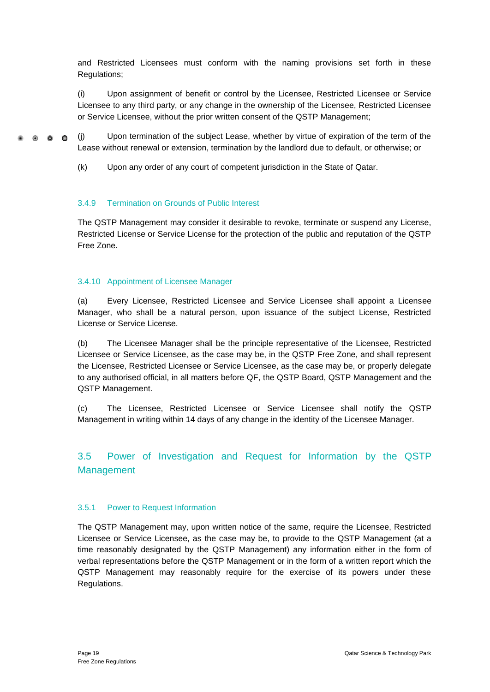and Restricted Licensees must conform with the naming provisions set forth in these Regulations;

(i) Upon assignment of benefit or control by the Licensee, Restricted Licensee or Service Licensee to any third party, or any change in the ownership of the Licensee, Restricted Licensee or Service Licensee, without the prior written consent of the QSTP Management;

(j) Upon termination of the subject Lease, whether by virtue of expiration of the term of the  $\bullet$   $\bullet$   $\bullet$ Lease without renewal or extension, termination by the landlord due to default, or otherwise; or

(k) Upon any order of any court of competent jurisdiction in the State of Qatar.

#### 3.4.9 Termination on Grounds of Public Interest

The QSTP Management may consider it desirable to revoke, terminate or suspend any License, Restricted License or Service License for the protection of the public and reputation of the QSTP Free Zone.

#### 3.4.10 Appointment of Licensee Manager

(a) Every Licensee, Restricted Licensee and Service Licensee shall appoint a Licensee Manager, who shall be a natural person, upon issuance of the subject License, Restricted License or Service License.

(b) The Licensee Manager shall be the principle representative of the Licensee, Restricted Licensee or Service Licensee, as the case may be, in the QSTP Free Zone, and shall represent the Licensee, Restricted Licensee or Service Licensee, as the case may be, or properly delegate to any authorised official, in all matters before QF, the QSTP Board, QSTP Management and the QSTP Management.

(c) The Licensee, Restricted Licensee or Service Licensee shall notify the QSTP Management in writing within 14 days of any change in the identity of the Licensee Manager.

## <span id="page-24-0"></span>3.5 Power of Investigation and Request for Information by the QSTP Management

#### 3.5.1 Power to Request Information

The QSTP Management may, upon written notice of the same, require the Licensee, Restricted Licensee or Service Licensee, as the case may be, to provide to the QSTP Management (at a time reasonably designated by the QSTP Management) any information either in the form of verbal representations before the QSTP Management or in the form of a written report which the QSTP Management may reasonably require for the exercise of its powers under these Regulations.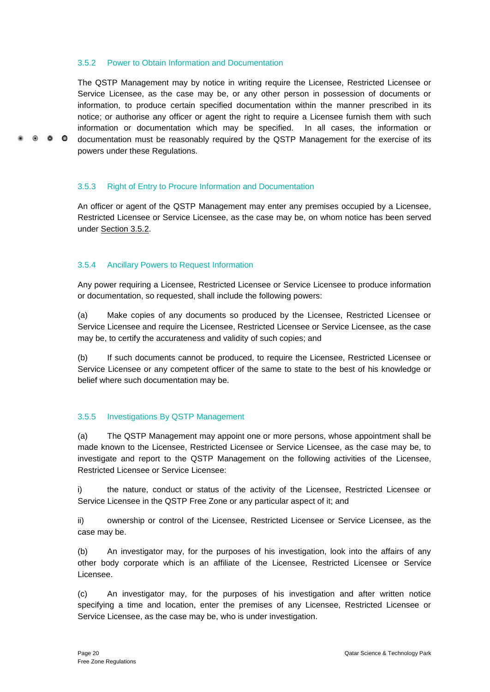#### 3.5.2 Power to Obtain Information and Documentation

The QSTP Management may by notice in writing require the Licensee, Restricted Licensee or Service Licensee, as the case may be, or any other person in possession of documents or information, to produce certain specified documentation within the manner prescribed in its notice; or authorise any officer or agent the right to require a Licensee furnish them with such information or documentation which may be specified. In all cases, the information or documentation must be reasonably required by the QSTP Management for the exercise of its powers under these Regulations.

3.5.3 Right of Entry to Procure Information and Documentation

An officer or agent of the QSTP Management may enter any premises occupied by a Licensee, Restricted Licensee or Service Licensee, as the case may be, on whom notice has been served under Section 3.5.2.

#### 3.5.4 Ancillary Powers to Request Information

 $\bullet$   $\bullet$   $\bullet$ 

Any power requiring a Licensee, Restricted Licensee or Service Licensee to produce information or documentation, so requested, shall include the following powers:

(a) Make copies of any documents so produced by the Licensee, Restricted Licensee or Service Licensee and require the Licensee, Restricted Licensee or Service Licensee, as the case may be, to certify the accurateness and validity of such copies; and

(b) If such documents cannot be produced, to require the Licensee, Restricted Licensee or Service Licensee or any competent officer of the same to state to the best of his knowledge or belief where such documentation may be.

#### 3.5.5 Investigations By QSTP Management

(a) The QSTP Management may appoint one or more persons, whose appointment shall be made known to the Licensee, Restricted Licensee or Service Licensee, as the case may be, to investigate and report to the QSTP Management on the following activities of the Licensee, Restricted Licensee or Service Licensee:

i) the nature, conduct or status of the activity of the Licensee, Restricted Licensee or Service Licensee in the QSTP Free Zone or any particular aspect of it; and

ii) ownership or control of the Licensee, Restricted Licensee or Service Licensee, as the case may be.

(b) An investigator may, for the purposes of his investigation, look into the affairs of any other body corporate which is an affiliate of the Licensee, Restricted Licensee or Service Licensee.

(c) An investigator may, for the purposes of his investigation and after written notice specifying a time and location, enter the premises of any Licensee, Restricted Licensee or Service Licensee, as the case may be, who is under investigation.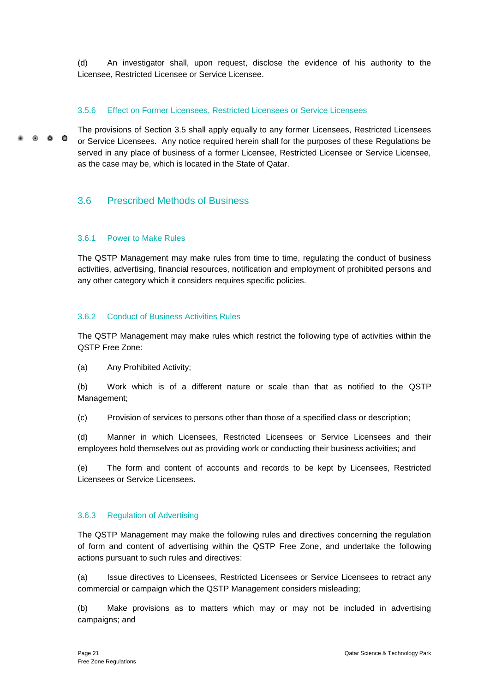(d) An investigator shall, upon request, disclose the evidence of his authority to the Licensee, Restricted Licensee or Service Licensee.

#### 3.5.6 Effect on Former Licensees, Restricted Licensees or Service Licensees

The provisions of Section 3.5 shall apply equally to any former Licensees, Restricted Licensees  $\bullet$ or Service Licensees. Any notice required herein shall for the purposes of these Regulations be served in any place of business of a former Licensee, Restricted Licensee or Service Licensee, as the case may be, which is located in the State of Qatar.

### <span id="page-26-0"></span>3.6 Prescribed Methods of Business

#### 3.6.1 Power to Make Rules

The QSTP Management may make rules from time to time, regulating the conduct of business activities, advertising, financial resources, notification and employment of prohibited persons and any other category which it considers requires specific policies.

#### 3.6.2 Conduct of Business Activities Rules

The QSTP Management may make rules which restrict the following type of activities within the QSTP Free Zone:

(a) Any Prohibited Activity;

(b) Work which is of a different nature or scale than that as notified to the QSTP Management;

(c) Provision of services to persons other than those of a specified class or description;

(d) Manner in which Licensees, Restricted Licensees or Service Licensees and their employees hold themselves out as providing work or conducting their business activities; and

(e) The form and content of accounts and records to be kept by Licensees, Restricted Licensees or Service Licensees.

#### 3.6.3 Regulation of Advertising

The QSTP Management may make the following rules and directives concerning the regulation of form and content of advertising within the QSTP Free Zone, and undertake the following actions pursuant to such rules and directives:

(a) Issue directives to Licensees, Restricted Licensees or Service Licensees to retract any commercial or campaign which the QSTP Management considers misleading;

(b) Make provisions as to matters which may or may not be included in advertising campaigns; and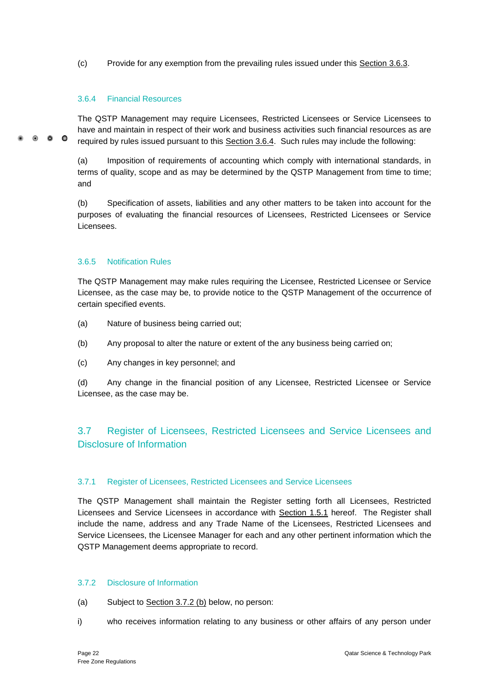(c) Provide for any exemption from the prevailing rules issued under this Section 3.6.3.

#### 3.6.4 Financial Resources

The QSTP Management may require Licensees, Restricted Licensees or Service Licensees to have and maintain in respect of their work and business activities such financial resources as are 0 0 0 required by rules issued pursuant to this Section 3.6.4. Such rules may include the following:

> (a) Imposition of requirements of accounting which comply with international standards, in terms of quality, scope and as may be determined by the QSTP Management from time to time; and

> (b) Specification of assets, liabilities and any other matters to be taken into account for the purposes of evaluating the financial resources of Licensees, Restricted Licensees or Service Licensees.

#### 3.6.5 Notification Rules

The QSTP Management may make rules requiring the Licensee, Restricted Licensee or Service Licensee, as the case may be, to provide notice to the QSTP Management of the occurrence of certain specified events.

- (a) Nature of business being carried out;
- (b) Any proposal to alter the nature or extent of the any business being carried on;
- (c) Any changes in key personnel; and

(d) Any change in the financial position of any Licensee, Restricted Licensee or Service Licensee, as the case may be.

## <span id="page-27-0"></span>3.7 Register of Licensees, Restricted Licensees and Service Licensees and Disclosure of Information

#### 3.7.1 Register of Licensees, Restricted Licensees and Service Licensees

The QSTP Management shall maintain the Register setting forth all Licensees, Restricted Licensees and Service Licensees in accordance with Section 1.5.1 hereof. The Register shall include the name, address and any Trade Name of the Licensees, Restricted Licensees and Service Licensees, the Licensee Manager for each and any other pertinent information which the QSTP Management deems appropriate to record.

#### 3.7.2 Disclosure of Information

- (a) Subject to Section 3.7.2 (b) below, no person:
- i) who receives information relating to any business or other affairs of any person under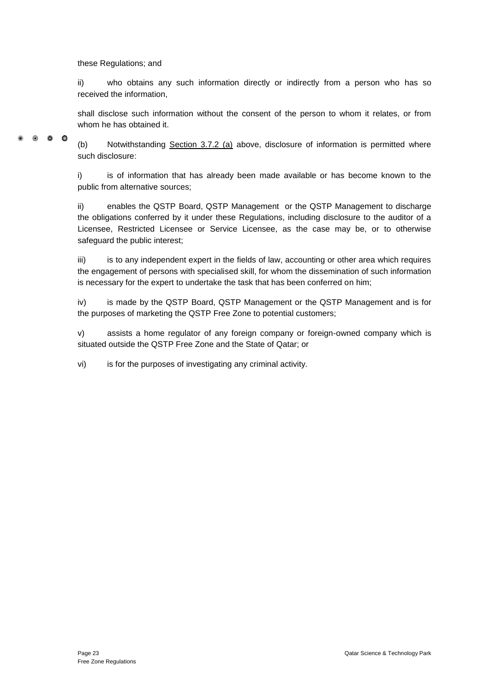these Regulations; and

ii) who obtains any such information directly or indirectly from a person who has so received the information,

shall disclose such information without the consent of the person to whom it relates, or from whom he has obtained it.

 $\bullet$   $\bullet$   $\bullet$ 

(b) Notwithstanding Section 3.7.2 (a) above, disclosure of information is permitted where such disclosure:

i) is of information that has already been made available or has become known to the public from alternative sources;

ii) enables the QSTP Board, QSTP Management or the QSTP Management to discharge the obligations conferred by it under these Regulations, including disclosure to the auditor of a Licensee, Restricted Licensee or Service Licensee, as the case may be, or to otherwise safeguard the public interest;

iii) is to any independent expert in the fields of law, accounting or other area which requires the engagement of persons with specialised skill, for whom the dissemination of such information is necessary for the expert to undertake the task that has been conferred on him;

iv) is made by the QSTP Board, QSTP Management or the QSTP Management and is for the purposes of marketing the QSTP Free Zone to potential customers;

v) assists a home regulator of any foreign company or foreign-owned company which is situated outside the QSTP Free Zone and the State of Qatar; or

vi) is for the purposes of investigating any criminal activity.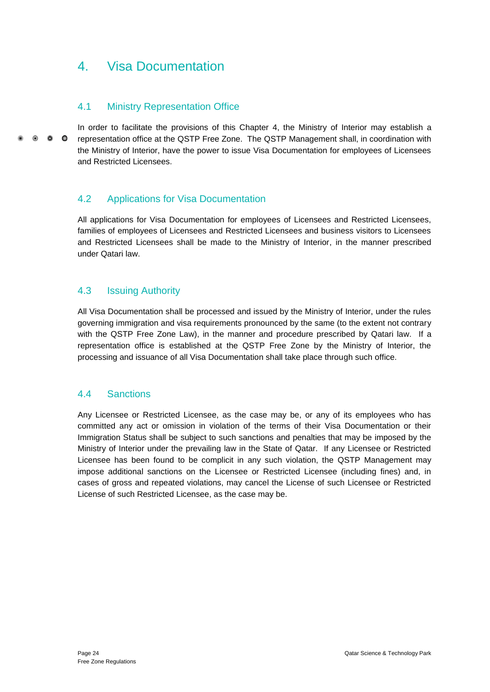## <span id="page-29-0"></span>4. Visa Documentation

## <span id="page-29-1"></span>4.1 Ministry Representation Office

In order to facilitate the provisions of this Chapter 4, the Ministry of Interior may establish a  $\bullet$   $\bullet$   $\bullet$ representation office at the QSTP Free Zone. The QSTP Management shall, in coordination with the Ministry of Interior, have the power to issue Visa Documentation for employees of Licensees and Restricted Licensees.

## <span id="page-29-2"></span>4.2 Applications for Visa Documentation

All applications for Visa Documentation for employees of Licensees and Restricted Licensees, families of employees of Licensees and Restricted Licensees and business visitors to Licensees and Restricted Licensees shall be made to the Ministry of Interior, in the manner prescribed under Qatari law.

## <span id="page-29-3"></span>4.3 Issuing Authority

All Visa Documentation shall be processed and issued by the Ministry of Interior, under the rules governing immigration and visa requirements pronounced by the same (to the extent not contrary with the QSTP Free Zone Law), in the manner and procedure prescribed by Qatari law. If a representation office is established at the QSTP Free Zone by the Ministry of Interior, the processing and issuance of all Visa Documentation shall take place through such office.

## <span id="page-29-4"></span>4.4 Sanctions

Any Licensee or Restricted Licensee, as the case may be, or any of its employees who has committed any act or omission in violation of the terms of their Visa Documentation or their Immigration Status shall be subject to such sanctions and penalties that may be imposed by the Ministry of Interior under the prevailing law in the State of Qatar. If any Licensee or Restricted Licensee has been found to be complicit in any such violation, the QSTP Management may impose additional sanctions on the Licensee or Restricted Licensee (including fines) and, in cases of gross and repeated violations, may cancel the License of such Licensee or Restricted License of such Restricted Licensee, as the case may be.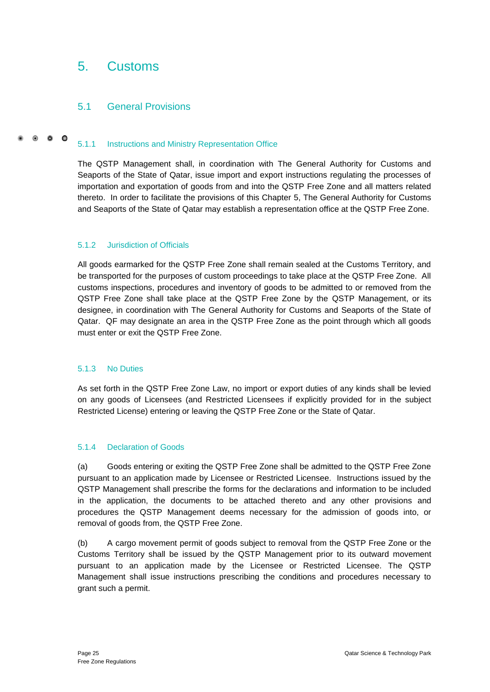## <span id="page-30-0"></span>5. Customs

## <span id="page-30-1"></span>5.1 General Provisions

#### $\circ$   $\circ$   $\circ$ 5.1.1 Instructions and Ministry Representation Office

The QSTP Management shall, in coordination with The General Authority for Customs and Seaports of the State of Qatar, issue import and export instructions regulating the processes of importation and exportation of goods from and into the QSTP Free Zone and all matters related thereto. In order to facilitate the provisions of this Chapter 5, The General Authority for Customs and Seaports of the State of Qatar may establish a representation office at the QSTP Free Zone.

#### 5.1.2 Jurisdiction of Officials

All goods earmarked for the QSTP Free Zone shall remain sealed at the Customs Territory, and be transported for the purposes of custom proceedings to take place at the QSTP Free Zone. All customs inspections, procedures and inventory of goods to be admitted to or removed from the QSTP Free Zone shall take place at the QSTP Free Zone by the QSTP Management, or its designee, in coordination with The General Authority for Customs and Seaports of the State of Qatar. QF may designate an area in the QSTP Free Zone as the point through which all goods must enter or exit the QSTP Free Zone.

#### 5.1.3 No Duties

As set forth in the QSTP Free Zone Law, no import or export duties of any kinds shall be levied on any goods of Licensees (and Restricted Licensees if explicitly provided for in the subject Restricted License) entering or leaving the QSTP Free Zone or the State of Qatar.

#### 5.1.4 Declaration of Goods

(a) Goods entering or exiting the QSTP Free Zone shall be admitted to the QSTP Free Zone pursuant to an application made by Licensee or Restricted Licensee. Instructions issued by the QSTP Management shall prescribe the forms for the declarations and information to be included in the application, the documents to be attached thereto and any other provisions and procedures the QSTP Management deems necessary for the admission of goods into, or removal of goods from, the QSTP Free Zone.

(b) A cargo movement permit of goods subject to removal from the QSTP Free Zone or the Customs Territory shall be issued by the QSTP Management prior to its outward movement pursuant to an application made by the Licensee or Restricted Licensee. The QSTP Management shall issue instructions prescribing the conditions and procedures necessary to grant such a permit.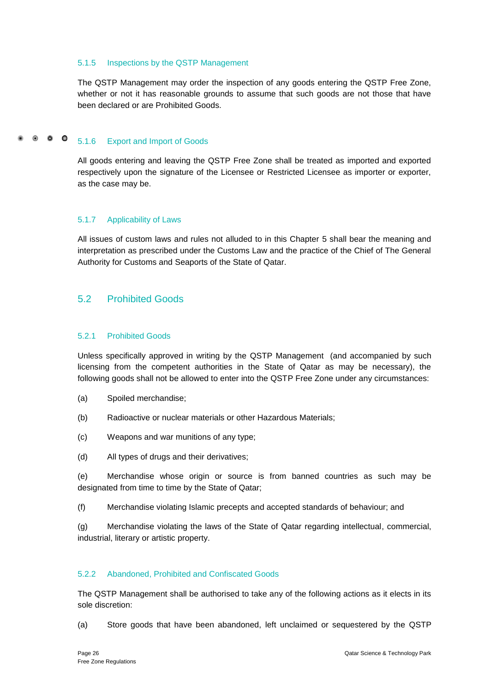#### 5.1.5 Inspections by the QSTP Management

The QSTP Management may order the inspection of any goods entering the QSTP Free Zone, whether or not it has reasonable grounds to assume that such goods are not those that have been declared or are Prohibited Goods.

#### $\bullet$   $\bullet$   $\bullet$ 5.1.6 Export and Import of Goods

All goods entering and leaving the QSTP Free Zone shall be treated as imported and exported respectively upon the signature of the Licensee or Restricted Licensee as importer or exporter, as the case may be.

#### 5.1.7 Applicability of Laws

All issues of custom laws and rules not alluded to in this Chapter 5 shall bear the meaning and interpretation as prescribed under the Customs Law and the practice of the Chief of The General Authority for Customs and Seaports of the State of Qatar.

### <span id="page-31-0"></span>5.2 Prohibited Goods

#### 5.2.1 Prohibited Goods

Unless specifically approved in writing by the QSTP Management (and accompanied by such licensing from the competent authorities in the State of Qatar as may be necessary), the following goods shall not be allowed to enter into the QSTP Free Zone under any circumstances:

- (a) Spoiled merchandise;
- (b) Radioactive or nuclear materials or other Hazardous Materials;
- (c) Weapons and war munitions of any type;
- (d) All types of drugs and their derivatives;

(e) Merchandise whose origin or source is from banned countries as such may be designated from time to time by the State of Qatar;

(f) Merchandise violating Islamic precepts and accepted standards of behaviour; and

(g) Merchandise violating the laws of the State of Qatar regarding intellectual, commercial, industrial, literary or artistic property.

#### 5.2.2 Abandoned, Prohibited and Confiscated Goods

The QSTP Management shall be authorised to take any of the following actions as it elects in its sole discretion:

(a) Store goods that have been abandoned, left unclaimed or sequestered by the QSTP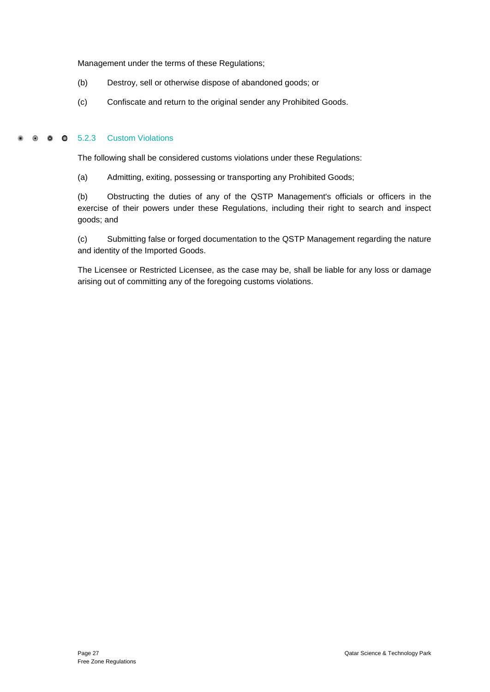Management under the terms of these Regulations;

- (b) Destroy, sell or otherwise dispose of abandoned goods; or
- (c) Confiscate and return to the original sender any Prohibited Goods.

#### $\bullet$  $\bullet$  $\bullet$ 5.2.3 Custom Violations

The following shall be considered customs violations under these Regulations:

(a) Admitting, exiting, possessing or transporting any Prohibited Goods;

(b) Obstructing the duties of any of the QSTP Management's officials or officers in the exercise of their powers under these Regulations, including their right to search and inspect goods; and

(c) Submitting false or forged documentation to the QSTP Management regarding the nature and identity of the Imported Goods.

The Licensee or Restricted Licensee, as the case may be, shall be liable for any loss or damage arising out of committing any of the foregoing customs violations.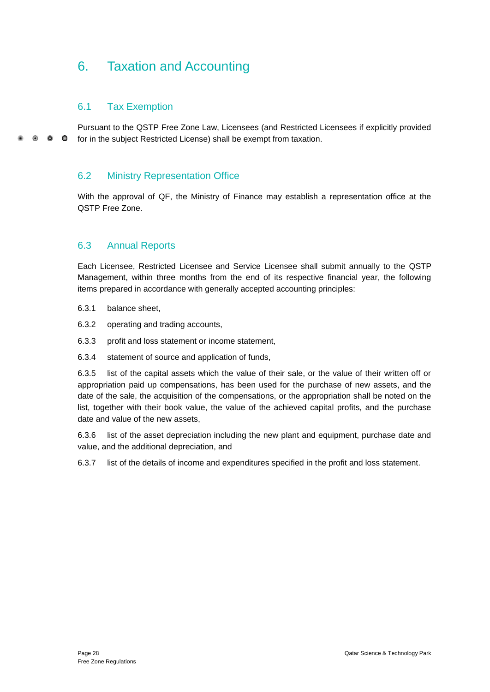## <span id="page-33-0"></span>6. Taxation and Accounting

## <span id="page-33-1"></span>6.1 Tax Exemption

Pursuant to the QSTP Free Zone Law, Licensees (and Restricted Licensees if explicitly provided  $\circ$   $\circ$   $\circ$ for in the subject Restricted License) shall be exempt from taxation.

## <span id="page-33-2"></span>6.2 Ministry Representation Office

With the approval of QF, the Ministry of Finance may establish a representation office at the QSTP Free Zone.

### <span id="page-33-3"></span>6.3 Annual Reports

Each Licensee, Restricted Licensee and Service Licensee shall submit annually to the QSTP Management, within three months from the end of its respective financial year, the following items prepared in accordance with generally accepted accounting principles:

- 6.3.1 balance sheet,
- 6.3.2 operating and trading accounts,
- 6.3.3 profit and loss statement or income statement,
- 6.3.4 statement of source and application of funds,

6.3.5 list of the capital assets which the value of their sale, or the value of their written off or appropriation paid up compensations, has been used for the purchase of new assets, and the date of the sale, the acquisition of the compensations, or the appropriation shall be noted on the list, together with their book value, the value of the achieved capital profits, and the purchase date and value of the new assets,

6.3.6 list of the asset depreciation including the new plant and equipment, purchase date and value, and the additional depreciation, and

6.3.7 list of the details of income and expenditures specified in the profit and loss statement.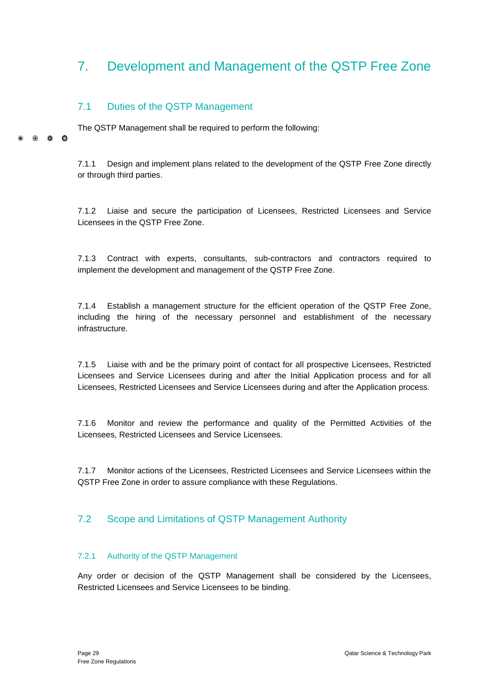## <span id="page-34-0"></span>7. Development and Management of the QSTP Free Zone

## <span id="page-34-1"></span>7.1 Duties of the QSTP Management

 $\circ$   $\circ$ 

 $\Omega$ 

The QSTP Management shall be required to perform the following:

7.1.1 Design and implement plans related to the development of the QSTP Free Zone directly or through third parties.

7.1.2 Liaise and secure the participation of Licensees, Restricted Licensees and Service Licensees in the QSTP Free Zone.

7.1.3 Contract with experts, consultants, sub-contractors and contractors required to implement the development and management of the QSTP Free Zone.

7.1.4 Establish a management structure for the efficient operation of the QSTP Free Zone, including the hiring of the necessary personnel and establishment of the necessary infrastructure.

7.1.5 Liaise with and be the primary point of contact for all prospective Licensees, Restricted Licensees and Service Licensees during and after the Initial Application process and for all Licensees, Restricted Licensees and Service Licensees during and after the Application process.

7.1.6 Monitor and review the performance and quality of the Permitted Activities of the Licensees, Restricted Licensees and Service Licensees.

7.1.7 Monitor actions of the Licensees, Restricted Licensees and Service Licensees within the QSTP Free Zone in order to assure compliance with these Regulations.

## <span id="page-34-2"></span>7.2 Scope and Limitations of QSTP Management Authority

#### 7.2.1 Authority of the QSTP Management

Any order or decision of the QSTP Management shall be considered by the Licensees, Restricted Licensees and Service Licensees to be binding.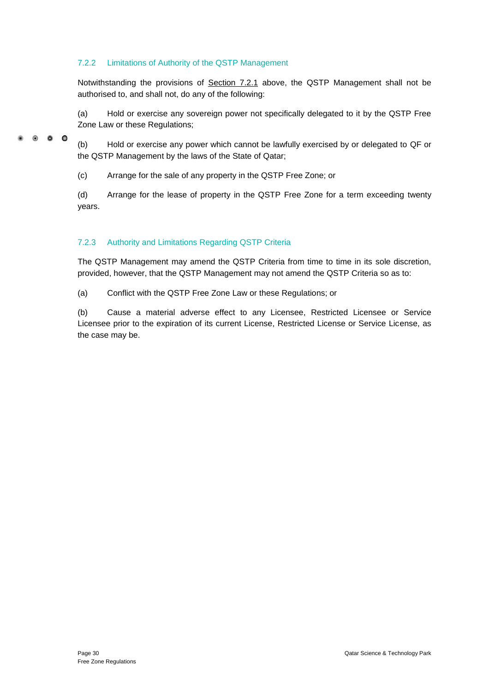#### 7.2.2 Limitations of Authority of the QSTP Management

 $\bullet$   $\bullet$   $\bullet$ 

Notwithstanding the provisions of Section 7.2.1 above, the QSTP Management shall not be authorised to, and shall not, do any of the following:

(a) Hold or exercise any sovereign power not specifically delegated to it by the QSTP Free Zone Law or these Regulations;

(b) Hold or exercise any power which cannot be lawfully exercised by or delegated to QF or the QSTP Management by the laws of the State of Qatar;

(c) Arrange for the sale of any property in the QSTP Free Zone; or

(d) Arrange for the lease of property in the QSTP Free Zone for a term exceeding twenty years.

### 7.2.3 Authority and Limitations Regarding QSTP Criteria

The QSTP Management may amend the QSTP Criteria from time to time in its sole discretion, provided, however, that the QSTP Management may not amend the QSTP Criteria so as to:

(a) Conflict with the QSTP Free Zone Law or these Regulations; or

(b) Cause a material adverse effect to any Licensee, Restricted Licensee or Service Licensee prior to the expiration of its current License, Restricted License or Service License, as the case may be.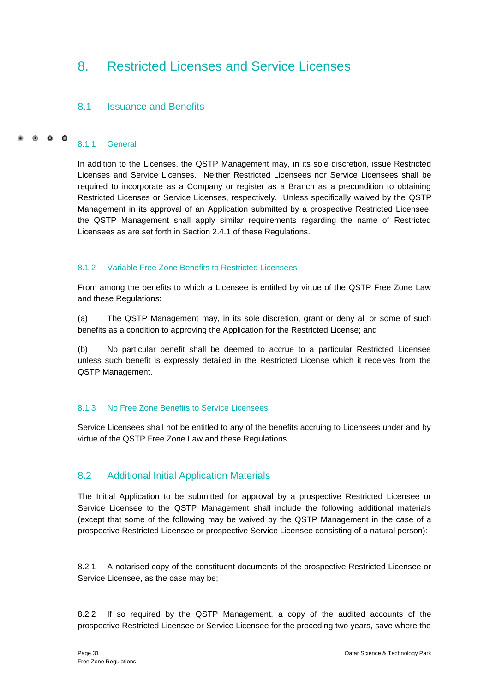## <span id="page-36-0"></span>8. Restricted Licenses and Service Licenses

## <span id="page-36-1"></span>8.1 Issuance and Benefits

#### $\bullet$   $\bullet$   $\bullet$ 8.1.1 General

In addition to the Licenses, the QSTP Management may, in its sole discretion, issue Restricted Licenses and Service Licenses. Neither Restricted Licensees nor Service Licensees shall be required to incorporate as a Company or register as a Branch as a precondition to obtaining Restricted Licenses or Service Licenses, respectively. Unless specifically waived by the QSTP Management in its approval of an Application submitted by a prospective Restricted Licensee, the QSTP Management shall apply similar requirements regarding the name of Restricted Licensees as are set forth in Section 2.4.1 of these Regulations.

#### 8.1.2 Variable Free Zone Benefits to Restricted Licensees

From among the benefits to which a Licensee is entitled by virtue of the QSTP Free Zone Law and these Regulations:

(a) The QSTP Management may, in its sole discretion, grant or deny all or some of such benefits as a condition to approving the Application for the Restricted License; and

(b) No particular benefit shall be deemed to accrue to a particular Restricted Licensee unless such benefit is expressly detailed in the Restricted License which it receives from the QSTP Management.

#### 8.1.3 No Free Zone Benefits to Service Licensees

Service Licensees shall not be entitled to any of the benefits accruing to Licensees under and by virtue of the QSTP Free Zone Law and these Regulations.

## <span id="page-36-2"></span>8.2 Additional Initial Application Materials

The Initial Application to be submitted for approval by a prospective Restricted Licensee or Service Licensee to the QSTP Management shall include the following additional materials (except that some of the following may be waived by the QSTP Management in the case of a prospective Restricted Licensee or prospective Service Licensee consisting of a natural person):

8.2.1 A notarised copy of the constituent documents of the prospective Restricted Licensee or Service Licensee, as the case may be;

8.2.2 If so required by the QSTP Management, a copy of the audited accounts of the prospective Restricted Licensee or Service Licensee for the preceding two years, save where the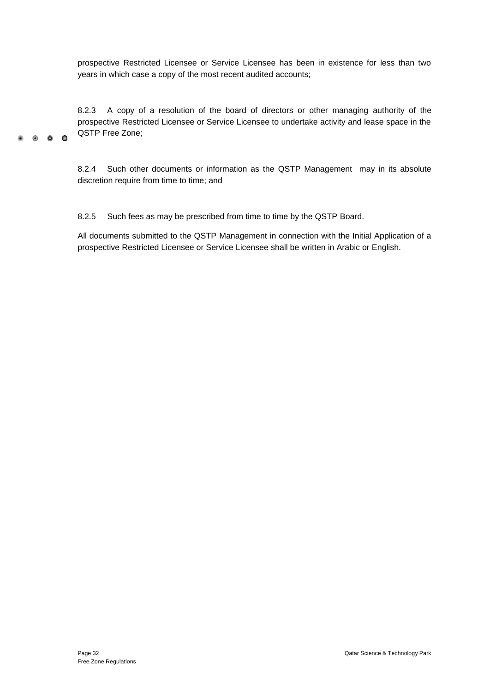prospective Restricted Licensee or Service Licensee has been in existence for less than two years in which case a copy of the most recent audited accounts;

8.2.3 A copy of a resolution of the board of directors or other managing authority of the prospective Restricted Licensee or Service Licensee to undertake activity and lease space in the QSTP Free Zone;

8.2.4 Such other documents or information as the QSTP Management may in its absolute discretion require from time to time; and

8.2.5 Such fees as may be prescribed from time to time by the QSTP Board.

All documents submitted to the QSTP Management in connection with the Initial Application of a prospective Restricted Licensee or Service Licensee shall be written in Arabic or English.

 $\bullet$   $\bullet$   $\bullet$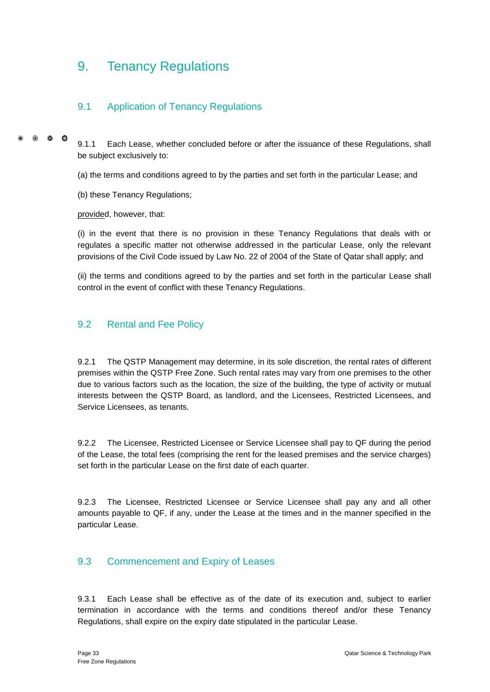## <span id="page-38-0"></span>9. Tenancy Regulations

## <span id="page-38-1"></span>9.1 Application of Tenancy Regulations

 $\bullet$   $\bullet$   $\bullet$ 

9.1.1 Each Lease, whether concluded before or after the issuance of these Regulations, shall be subject exclusively to:

(a) the terms and conditions agreed to by the parties and set forth in the particular Lease; and

(b) these Tenancy Regulations;

provided, however, that:

(i) in the event that there is no provision in these Tenancy Regulations that deals with or regulates a specific matter not otherwise addressed in the particular Lease, only the relevant provisions of the Civil Code issued by Law No. 22 of 2004 of the State of Qatar shall apply; and

(ii) the terms and conditions agreed to by the parties and set forth in the particular Lease shall control in the event of conflict with these Tenancy Regulations.

## <span id="page-38-2"></span>9.2 Rental and Fee Policy

9.2.1 The QSTP Management may determine, in its sole discretion, the rental rates of different premises within the QSTP Free Zone. Such rental rates may vary from one premises to the other due to various factors such as the location, the size of the building, the type of activity or mutual interests between the QSTP Board, as landlord, and the Licensees, Restricted Licensees, and Service Licensees, as tenants.

9.2.2 The Licensee, Restricted Licensee or Service Licensee shall pay to QF during the period of the Lease, the total fees (comprising the rent for the leased premises and the service charges) set forth in the particular Lease on the first date of each quarter.

9.2.3 The Licensee, Restricted Licensee or Service Licensee shall pay any and all other amounts payable to QF, if any, under the Lease at the times and in the manner specified in the particular Lease.

## <span id="page-38-3"></span>9.3 Commencement and Expiry of Leases

9.3.1 Each Lease shall be effective as of the date of its execution and, subject to earlier termination in accordance with the terms and conditions thereof and/or these Tenancy Regulations, shall expire on the expiry date stipulated in the particular Lease.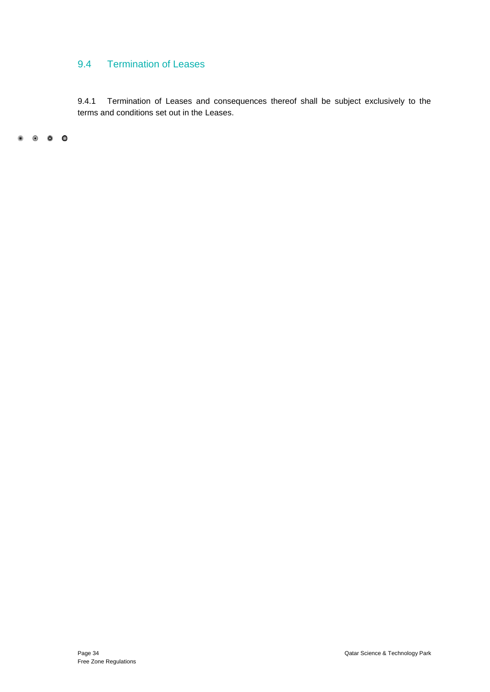## <span id="page-39-0"></span>9.4 Termination of Leases

9.4.1 Termination of Leases and consequences thereof shall be subject exclusively to the terms and conditions set out in the Leases.

 $\begin{array}{ccccccccc}\n\bullet & \circ & \circ & \circ & \circ\n\end{array}$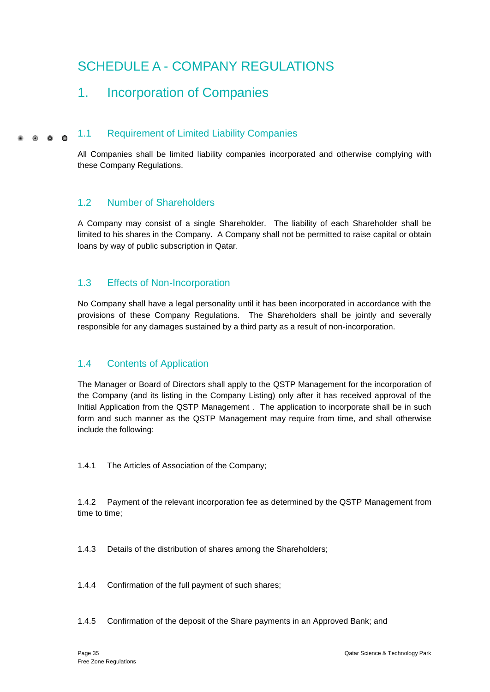# <span id="page-40-0"></span>SCHEDULE A - COMPANY REGULATIONS

## <span id="page-40-2"></span><span id="page-40-1"></span>1. Incorporation of Companies

#### 1.1 Requirement of Limited Liability Companies  $0 \quad 0 \quad 0$

All Companies shall be limited liability companies incorporated and otherwise complying with these Company Regulations.

## <span id="page-40-3"></span>1.2 Number of Shareholders

A Company may consist of a single Shareholder. The liability of each Shareholder shall be limited to his shares in the Company. A Company shall not be permitted to raise capital or obtain loans by way of public subscription in Qatar.

## <span id="page-40-4"></span>1.3 Effects of Non-Incorporation

No Company shall have a legal personality until it has been incorporated in accordance with the provisions of these Company Regulations. The Shareholders shall be jointly and severally responsible for any damages sustained by a third party as a result of non-incorporation.

## <span id="page-40-5"></span>1.4 Contents of Application

The Manager or Board of Directors shall apply to the QSTP Management for the incorporation of the Company (and its listing in the Company Listing) only after it has received approval of the Initial Application from the QSTP Management . The application to incorporate shall be in such form and such manner as the QSTP Management may require from time, and shall otherwise include the following:

1.4.1 The Articles of Association of the Company;

1.4.2 Payment of the relevant incorporation fee as determined by the QSTP Management from time to time;

1.4.3 Details of the distribution of shares among the Shareholders;

1.4.4 Confirmation of the full payment of such shares;

1.4.5 Confirmation of the deposit of the Share payments in an Approved Bank; and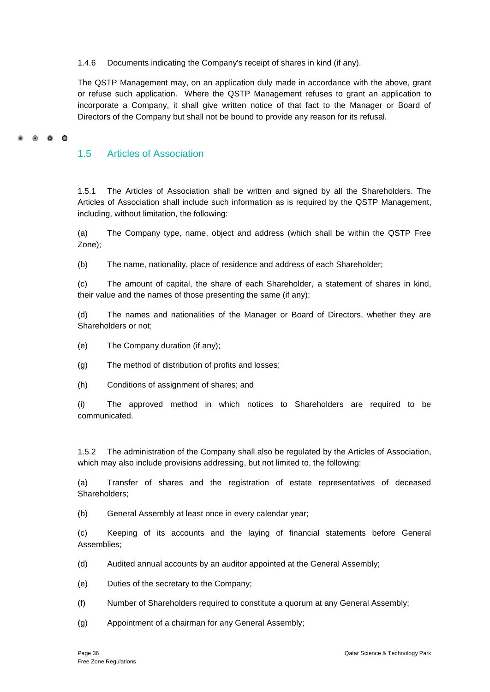1.4.6 Documents indicating the Company's receipt of shares in kind (if any).

The QSTP Management may, on an application duly made in accordance with the above, grant or refuse such application. Where the QSTP Management refuses to grant an application to incorporate a Company, it shall give written notice of that fact to the Manager or Board of Directors of the Company but shall not be bound to provide any reason for its refusal.

#### $\bullet$   $\bullet$   $\bullet$

#### <span id="page-41-0"></span>1.5 Articles of Association

1.5.1 The Articles of Association shall be written and signed by all the Shareholders. The Articles of Association shall include such information as is required by the QSTP Management, including, without limitation, the following:

(a) The Company type, name, object and address (which shall be within the QSTP Free Zone);

(b) The name, nationality, place of residence and address of each Shareholder;

(c) The amount of capital, the share of each Shareholder, a statement of shares in kind, their value and the names of those presenting the same (if any);

(d) The names and nationalities of the Manager or Board of Directors, whether they are Shareholders or not;

(e) The Company duration (if any);

(g) The method of distribution of profits and losses;

(h) Conditions of assignment of shares; and

(i) The approved method in which notices to Shareholders are required to be communicated.

1.5.2 The administration of the Company shall also be regulated by the Articles of Association, which may also include provisions addressing, but not limited to, the following:

(a) Transfer of shares and the registration of estate representatives of deceased Shareholders;

(b) General Assembly at least once in every calendar year;

(c) Keeping of its accounts and the laying of financial statements before General Assemblies;

- (d) Audited annual accounts by an auditor appointed at the General Assembly;
- (e) Duties of the secretary to the Company;
- (f) Number of Shareholders required to constitute a quorum at any General Assembly;
- (g) Appointment of a chairman for any General Assembly;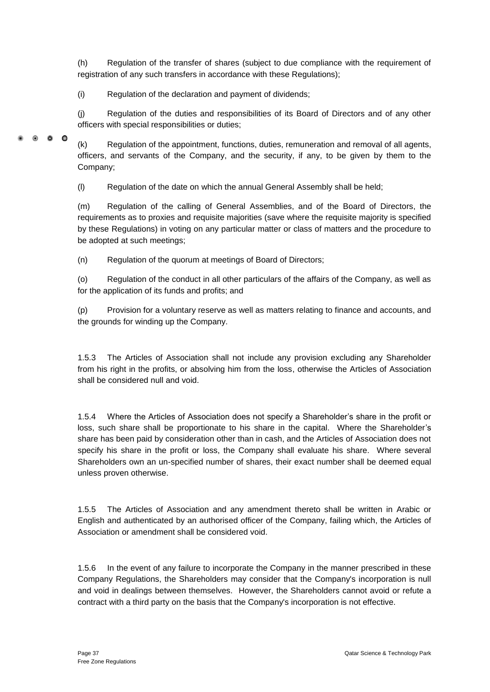(h) Regulation of the transfer of shares (subject to due compliance with the requirement of registration of any such transfers in accordance with these Regulations);

(i) Regulation of the declaration and payment of dividends;

(j) Regulation of the duties and responsibilities of its Board of Directors and of any other officers with special responsibilities or duties;

 $\bullet$   $\bullet$   $\bullet$ 

(k) Regulation of the appointment, functions, duties, remuneration and removal of all agents, officers, and servants of the Company, and the security, if any, to be given by them to the Company;

(l) Regulation of the date on which the annual General Assembly shall be held;

(m) Regulation of the calling of General Assemblies, and of the Board of Directors, the requirements as to proxies and requisite majorities (save where the requisite majority is specified by these Regulations) in voting on any particular matter or class of matters and the procedure to be adopted at such meetings;

(n) Regulation of the quorum at meetings of Board of Directors;

(o) Regulation of the conduct in all other particulars of the affairs of the Company, as well as for the application of its funds and profits; and

(p) Provision for a voluntary reserve as well as matters relating to finance and accounts, and the grounds for winding up the Company.

1.5.3 The Articles of Association shall not include any provision excluding any Shareholder from his right in the profits, or absolving him from the loss, otherwise the Articles of Association shall be considered null and void.

1.5.4 Where the Articles of Association does not specify a Shareholder's share in the profit or loss, such share shall be proportionate to his share in the capital. Where the Shareholder's share has been paid by consideration other than in cash, and the Articles of Association does not specify his share in the profit or loss, the Company shall evaluate his share. Where several Shareholders own an un-specified number of shares, their exact number shall be deemed equal unless proven otherwise.

1.5.5 The Articles of Association and any amendment thereto shall be written in Arabic or English and authenticated by an authorised officer of the Company, failing which, the Articles of Association or amendment shall be considered void.

1.5.6 In the event of any failure to incorporate the Company in the manner prescribed in these Company Regulations, the Shareholders may consider that the Company's incorporation is null and void in dealings between themselves. However, the Shareholders cannot avoid or refute a contract with a third party on the basis that the Company's incorporation is not effective.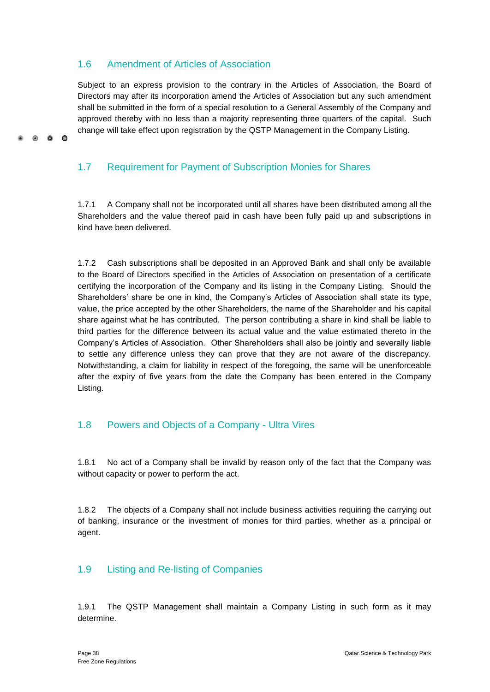## <span id="page-43-0"></span>1.6 Amendment of Articles of Association

 $\bullet$   $\bullet$ 

 $\Omega$ 

Subject to an express provision to the contrary in the Articles of Association, the Board of Directors may after its incorporation amend the Articles of Association but any such amendment shall be submitted in the form of a special resolution to a General Assembly of the Company and approved thereby with no less than a majority representing three quarters of the capital. Such change will take effect upon registration by the QSTP Management in the Company Listing.

## <span id="page-43-1"></span>1.7 Requirement for Payment of Subscription Monies for Shares

1.7.1 A Company shall not be incorporated until all shares have been distributed among all the Shareholders and the value thereof paid in cash have been fully paid up and subscriptions in kind have been delivered.

1.7.2 Cash subscriptions shall be deposited in an Approved Bank and shall only be available to the Board of Directors specified in the Articles of Association on presentation of a certificate certifying the incorporation of the Company and its listing in the Company Listing. Should the Shareholders' share be one in kind, the Company's Articles of Association shall state its type, value, the price accepted by the other Shareholders, the name of the Shareholder and his capital share against what he has contributed. The person contributing a share in kind shall be liable to third parties for the difference between its actual value and the value estimated thereto in the Company's Articles of Association. Other Shareholders shall also be jointly and severally liable to settle any difference unless they can prove that they are not aware of the discrepancy. Notwithstanding, a claim for liability in respect of the foregoing, the same will be unenforceable after the expiry of five years from the date the Company has been entered in the Company Listing.

## <span id="page-43-2"></span>1.8 Powers and Objects of a Company - Ultra Vires

1.8.1 No act of a Company shall be invalid by reason only of the fact that the Company was without capacity or power to perform the act.

1.8.2 The objects of a Company shall not include business activities requiring the carrying out of banking, insurance or the investment of monies for third parties, whether as a principal or agent.

## <span id="page-43-3"></span>1.9 Listing and Re-listing of Companies

1.9.1 The QSTP Management shall maintain a Company Listing in such form as it may determine.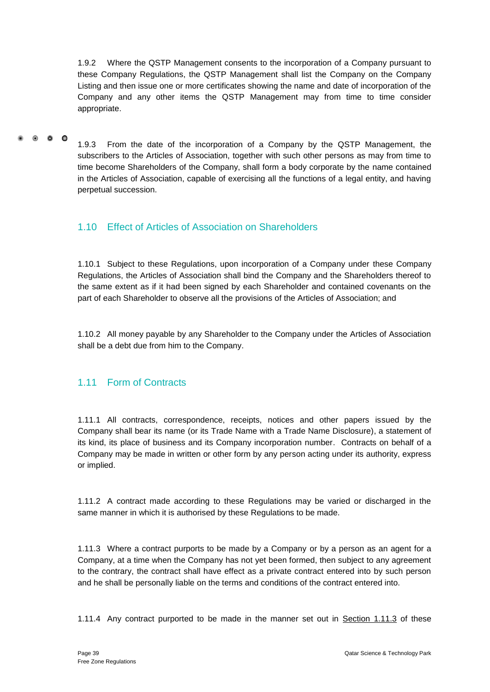1.9.2 Where the QSTP Management consents to the incorporation of a Company pursuant to these Company Regulations, the QSTP Management shall list the Company on the Company Listing and then issue one or more certificates showing the name and date of incorporation of the Company and any other items the QSTP Management may from time to time consider appropriate.

#### $\bullet$   $\bullet$   $\bullet$

1.9.3 From the date of the incorporation of a Company by the QSTP Management, the subscribers to the Articles of Association, together with such other persons as may from time to time become Shareholders of the Company, shall form a body corporate by the name contained in the Articles of Association, capable of exercising all the functions of a legal entity, and having perpetual succession.

## <span id="page-44-0"></span>1.10 Effect of Articles of Association on Shareholders

1.10.1 Subject to these Regulations, upon incorporation of a Company under these Company Regulations, the Articles of Association shall bind the Company and the Shareholders thereof to the same extent as if it had been signed by each Shareholder and contained covenants on the part of each Shareholder to observe all the provisions of the Articles of Association; and

1.10.2 All money payable by any Shareholder to the Company under the Articles of Association shall be a debt due from him to the Company.

## <span id="page-44-1"></span>1.11 Form of Contracts

1.11.1 All contracts, correspondence, receipts, notices and other papers issued by the Company shall bear its name (or its Trade Name with a Trade Name Disclosure), a statement of its kind, its place of business and its Company incorporation number. Contracts on behalf of a Company may be made in written or other form by any person acting under its authority, express or implied.

1.11.2 A contract made according to these Regulations may be varied or discharged in the same manner in which it is authorised by these Regulations to be made.

1.11.3 Where a contract purports to be made by a Company or by a person as an agent for a Company, at a time when the Company has not yet been formed, then subject to any agreement to the contrary, the contract shall have effect as a private contract entered into by such person and he shall be personally liable on the terms and conditions of the contract entered into.

1.11.4 Any contract purported to be made in the manner set out in **Section 1.11.3** of these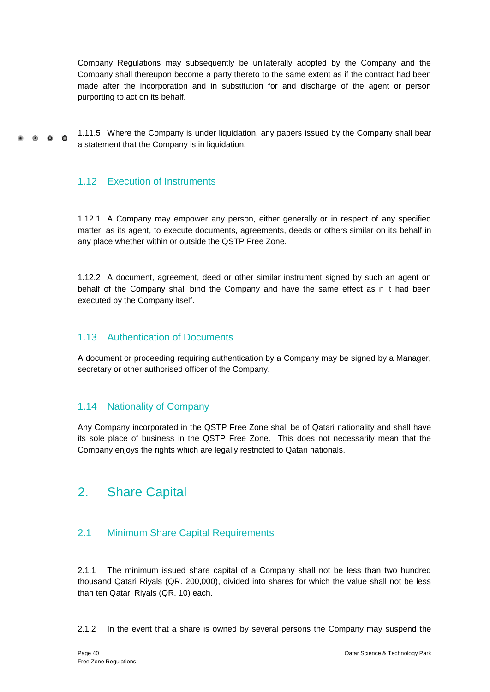Company Regulations may subsequently be unilaterally adopted by the Company and the Company shall thereupon become a party thereto to the same extent as if the contract had been made after the incorporation and in substitution for and discharge of the agent or person purporting to act on its behalf.

1.11.5 Where the Company is under liquidation, any papers issued by the Company shall bear  $\bullet$   $\bullet$   $\bullet$ a statement that the Company is in liquidation.

## <span id="page-45-0"></span>1.12 Execution of Instruments

1.12.1 A Company may empower any person, either generally or in respect of any specified matter, as its agent, to execute documents, agreements, deeds or others similar on its behalf in any place whether within or outside the QSTP Free Zone.

1.12.2 A document, agreement, deed or other similar instrument signed by such an agent on behalf of the Company shall bind the Company and have the same effect as if it had been executed by the Company itself.

### <span id="page-45-1"></span>1.13 Authentication of Documents

A document or proceeding requiring authentication by a Company may be signed by a Manager, secretary or other authorised officer of the Company.

### <span id="page-45-2"></span>1.14 Nationality of Company

Any Company incorporated in the QSTP Free Zone shall be of Qatari nationality and shall have its sole place of business in the QSTP Free Zone. This does not necessarily mean that the Company enjoys the rights which are legally restricted to Qatari nationals.

## <span id="page-45-3"></span>2. Share Capital

## <span id="page-45-4"></span>2.1 Minimum Share Capital Requirements

2.1.1 The minimum issued share capital of a Company shall not be less than two hundred thousand Qatari Riyals (QR. 200,000), divided into shares for which the value shall not be less than ten Qatari Riyals (QR. 10) each.

2.1.2 In the event that a share is owned by several persons the Company may suspend the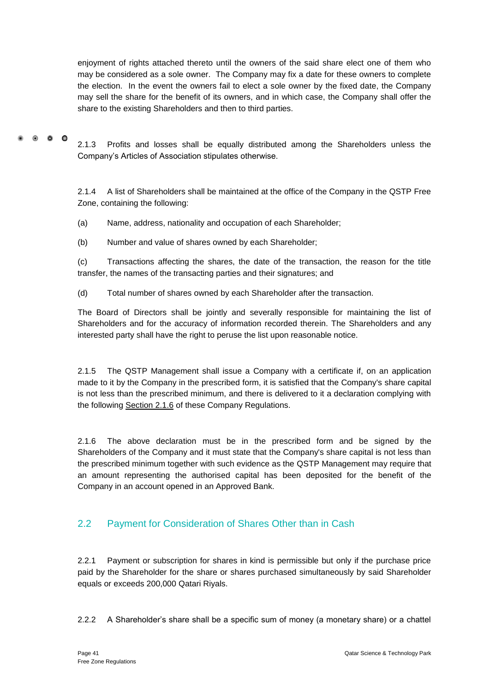enjoyment of rights attached thereto until the owners of the said share elect one of them who may be considered as a sole owner. The Company may fix a date for these owners to complete the election. In the event the owners fail to elect a sole owner by the fixed date, the Company may sell the share for the benefit of its owners, and in which case, the Company shall offer the share to the existing Shareholders and then to third parties.

#### $\bullet$   $\bullet$   $\bullet$ 2.1.3 Profits and losses shall be equally distributed among the Shareholders unless the Company's Articles of Association stipulates otherwise.

2.1.4 A list of Shareholders shall be maintained at the office of the Company in the QSTP Free Zone, containing the following:

(a) Name, address, nationality and occupation of each Shareholder;

(b) Number and value of shares owned by each Shareholder;

(c) Transactions affecting the shares, the date of the transaction, the reason for the title transfer, the names of the transacting parties and their signatures; and

(d) Total number of shares owned by each Shareholder after the transaction.

The Board of Directors shall be jointly and severally responsible for maintaining the list of Shareholders and for the accuracy of information recorded therein. The Shareholders and any interested party shall have the right to peruse the list upon reasonable notice.

2.1.5 The QSTP Management shall issue a Company with a certificate if, on an application made to it by the Company in the prescribed form, it is satisfied that the Company's share capital is not less than the prescribed minimum, and there is delivered to it a declaration complying with the following Section 2.1.6 of these Company Regulations.

2.1.6 The above declaration must be in the prescribed form and be signed by the Shareholders of the Company and it must state that the Company's share capital is not less than the prescribed minimum together with such evidence as the QSTP Management may require that an amount representing the authorised capital has been deposited for the benefit of the Company in an account opened in an Approved Bank.

## <span id="page-46-0"></span>2.2 Payment for Consideration of Shares Other than in Cash

2.2.1 Payment or subscription for shares in kind is permissible but only if the purchase price paid by the Shareholder for the share or shares purchased simultaneously by said Shareholder equals or exceeds 200,000 Qatari Riyals.

2.2.2 A Shareholder's share shall be a specific sum of money (a monetary share) or a chattel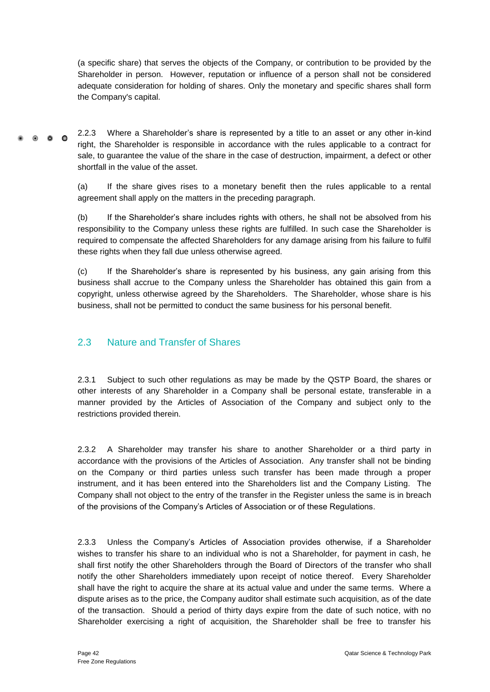(a specific share) that serves the objects of the Company, or contribution to be provided by the Shareholder in person. However, reputation or influence of a person shall not be considered adequate consideration for holding of shares. Only the monetary and specific shares shall form the Company's capital.

2.2.3 Where a Shareholder's share is represented by a title to an asset or any other in-kind  $0.00$ right, the Shareholder is responsible in accordance with the rules applicable to a contract for sale, to guarantee the value of the share in the case of destruction, impairment, a defect or other shortfall in the value of the asset.

> (a) If the share gives rises to a monetary benefit then the rules applicable to a rental agreement shall apply on the matters in the preceding paragraph.

> (b) If the Shareholder's share includes rights with others, he shall not be absolved from his responsibility to the Company unless these rights are fulfilled. In such case the Shareholder is required to compensate the affected Shareholders for any damage arising from his failure to fulfil these rights when they fall due unless otherwise agreed.

> (c) If the Shareholder's share is represented by his business, any gain arising from this business shall accrue to the Company unless the Shareholder has obtained this gain from a copyright, unless otherwise agreed by the Shareholders. The Shareholder, whose share is his business, shall not be permitted to conduct the same business for his personal benefit.

## <span id="page-47-0"></span>2.3 Nature and Transfer of Shares

2.3.1 Subject to such other regulations as may be made by the QSTP Board, the shares or other interests of any Shareholder in a Company shall be personal estate, transferable in a manner provided by the Articles of Association of the Company and subject only to the restrictions provided therein.

2.3.2 A Shareholder may transfer his share to another Shareholder or a third party in accordance with the provisions of the Articles of Association. Any transfer shall not be binding on the Company or third parties unless such transfer has been made through a proper instrument, and it has been entered into the Shareholders list and the Company Listing. The Company shall not object to the entry of the transfer in the Register unless the same is in breach of the provisions of the Company's Articles of Association or of these Regulations.

2.3.3 Unless the Company's Articles of Association provides otherwise, if a Shareholder wishes to transfer his share to an individual who is not a Shareholder, for payment in cash, he shall first notify the other Shareholders through the Board of Directors of the transfer who shall notify the other Shareholders immediately upon receipt of notice thereof. Every Shareholder shall have the right to acquire the share at its actual value and under the same terms. Where a dispute arises as to the price, the Company auditor shall estimate such acquisition, as of the date of the transaction. Should a period of thirty days expire from the date of such notice, with no Shareholder exercising a right of acquisition, the Shareholder shall be free to transfer his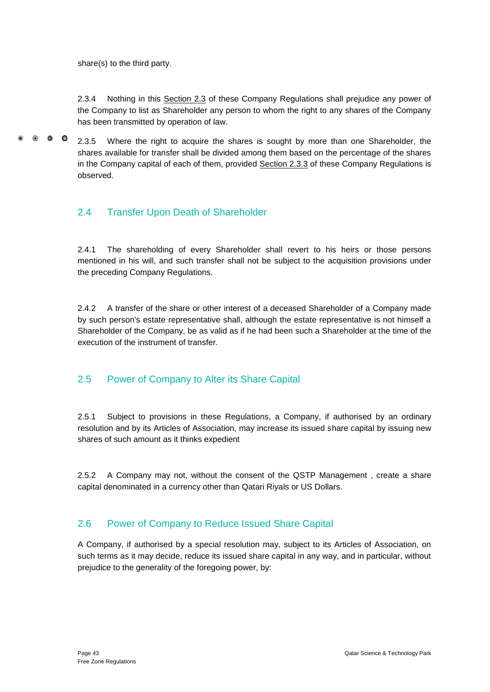share(s) to the third party.

2.3.4 Nothing in this Section 2.3 of these Company Regulations shall prejudice any power of the Company to list as Shareholder any person to whom the right to any shares of the Company has been transmitted by operation of law.

 $\bullet$   $\bullet$   $\bullet$ 2.3.5 Where the right to acquire the shares is sought by more than one Shareholder, the shares available for transfer shall be divided among them based on the percentage of the shares in the Company capital of each of them, provided Section 2.3.3 of these Company Regulations is observed.

## <span id="page-48-0"></span>2.4 Transfer Upon Death of Shareholder

2.4.1 The shareholding of every Shareholder shall revert to his heirs or those persons mentioned in his will, and such transfer shall not be subject to the acquisition provisions under the preceding Company Regulations.

2.4.2 A transfer of the share or other interest of a deceased Shareholder of a Company made by such person's estate representative shall, although the estate representative is not himself a Shareholder of the Company, be as valid as if he had been such a Shareholder at the time of the execution of the instrument of transfer.

## <span id="page-48-1"></span>2.5 Power of Company to Alter its Share Capital

2.5.1 Subject to provisions in these Regulations, a Company, if authorised by an ordinary resolution and by its Articles of Association, may increase its issued share capital by issuing new shares of such amount as it thinks expedient

2.5.2 A Company may not, without the consent of the QSTP Management , create a share capital denominated in a currency other than Qatari Riyals or US Dollars.

## <span id="page-48-2"></span>2.6 Power of Company to Reduce Issued Share Capital

A Company, if authorised by a special resolution may, subject to its Articles of Association, on such terms as it may decide, reduce its issued share capital in any way, and in particular, without prejudice to the generality of the foregoing power, by: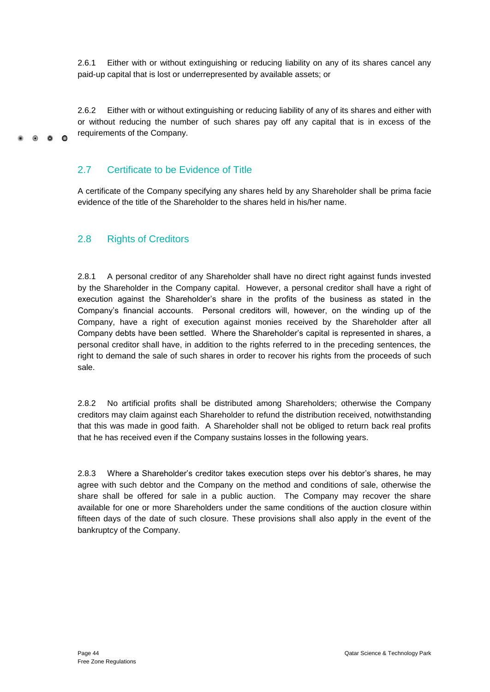2.6.1 Either with or without extinguishing or reducing liability on any of its shares cancel any paid-up capital that is lost or underrepresented by available assets; or

2.6.2 Either with or without extinguishing or reducing liability of any of its shares and either with or without reducing the number of such shares pay off any capital that is in excess of the requirements of the Company.

### <span id="page-49-0"></span>2.7 Certificate to be Evidence of Title

A certificate of the Company specifying any shares held by any Shareholder shall be prima facie evidence of the title of the Shareholder to the shares held in his/her name.

## <span id="page-49-1"></span>2.8 Rights of Creditors

 $0.00$ 

2.8.1 A personal creditor of any Shareholder shall have no direct right against funds invested by the Shareholder in the Company capital. However, a personal creditor shall have a right of execution against the Shareholder's share in the profits of the business as stated in the Company's financial accounts. Personal creditors will, however, on the winding up of the Company, have a right of execution against monies received by the Shareholder after all Company debts have been settled. Where the Shareholder's capital is represented in shares, a personal creditor shall have, in addition to the rights referred to in the preceding sentences, the right to demand the sale of such shares in order to recover his rights from the proceeds of such sale.

2.8.2 No artificial profits shall be distributed among Shareholders; otherwise the Company creditors may claim against each Shareholder to refund the distribution received, notwithstanding that this was made in good faith. A Shareholder shall not be obliged to return back real profits that he has received even if the Company sustains losses in the following years.

2.8.3 Where a Shareholder's creditor takes execution steps over his debtor's shares, he may agree with such debtor and the Company on the method and conditions of sale, otherwise the share shall be offered for sale in a public auction. The Company may recover the share available for one or more Shareholders under the same conditions of the auction closure within fifteen days of the date of such closure. These provisions shall also apply in the event of the bankruptcy of the Company.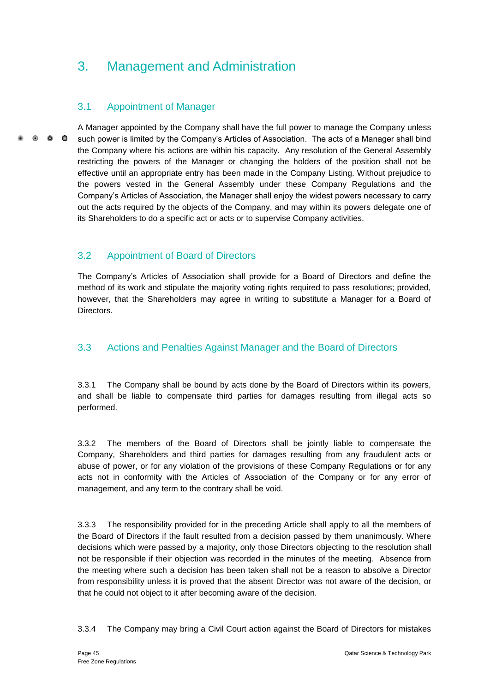## <span id="page-50-0"></span>3. Management and Administration

## <span id="page-50-1"></span>3.1 Appointment of Manager

A Manager appointed by the Company shall have the full power to manage the Company unless  $\bullet$   $\bullet$   $\bullet$ such power is limited by the Company's Articles of Association. The acts of a Manager shall bind the Company where his actions are within his capacity. Any resolution of the General Assembly restricting the powers of the Manager or changing the holders of the position shall not be effective until an appropriate entry has been made in the Company Listing. Without prejudice to the powers vested in the General Assembly under these Company Regulations and the Company's Articles of Association, the Manager shall enjoy the widest powers necessary to carry out the acts required by the objects of the Company, and may within its powers delegate one of its Shareholders to do a specific act or acts or to supervise Company activities.

## <span id="page-50-2"></span>3.2 Appointment of Board of Directors

The Company's Articles of Association shall provide for a Board of Directors and define the method of its work and stipulate the majority voting rights required to pass resolutions; provided, however, that the Shareholders may agree in writing to substitute a Manager for a Board of Directors.

## <span id="page-50-3"></span>3.3 Actions and Penalties Against Manager and the Board of Directors

3.3.1 The Company shall be bound by acts done by the Board of Directors within its powers, and shall be liable to compensate third parties for damages resulting from illegal acts so performed.

3.3.2 The members of the Board of Directors shall be jointly liable to compensate the Company, Shareholders and third parties for damages resulting from any fraudulent acts or abuse of power, or for any violation of the provisions of these Company Regulations or for any acts not in conformity with the Articles of Association of the Company or for any error of management, and any term to the contrary shall be void.

3.3.3 The responsibility provided for in the preceding Article shall apply to all the members of the Board of Directors if the fault resulted from a decision passed by them unanimously. Where decisions which were passed by a majority, only those Directors objecting to the resolution shall not be responsible if their objection was recorded in the minutes of the meeting. Absence from the meeting where such a decision has been taken shall not be a reason to absolve a Director from responsibility unless it is proved that the absent Director was not aware of the decision, or that he could not object to it after becoming aware of the decision.

3.3.4 The Company may bring a Civil Court action against the Board of Directors for mistakes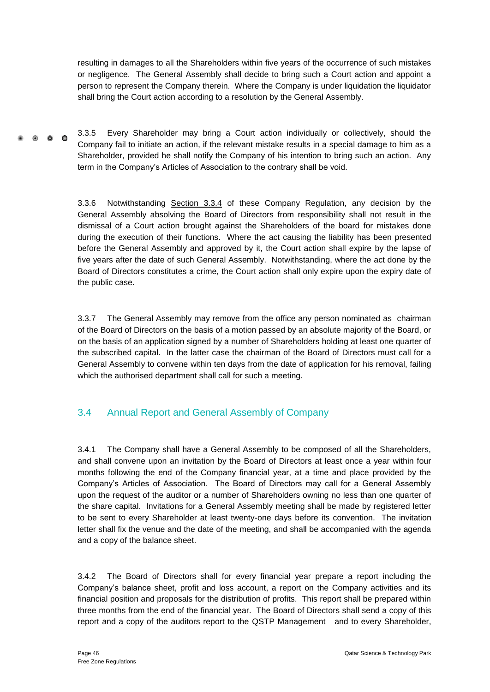resulting in damages to all the Shareholders within five years of the occurrence of such mistakes or negligence. The General Assembly shall decide to bring such a Court action and appoint a person to represent the Company therein. Where the Company is under liquidation the liquidator shall bring the Court action according to a resolution by the General Assembly.

3.3.5 Every Shareholder may bring a Court action individually or collectively, should the  $0<sub>0</sub>$ Company fail to initiate an action, if the relevant mistake results in a special damage to him as a Shareholder, provided he shall notify the Company of his intention to bring such an action. Any term in the Company's Articles of Association to the contrary shall be void.

> 3.3.6 Notwithstanding Section 3.3.4 of these Company Regulation, any decision by the General Assembly absolving the Board of Directors from responsibility shall not result in the dismissal of a Court action brought against the Shareholders of the board for mistakes done during the execution of their functions. Where the act causing the liability has been presented before the General Assembly and approved by it, the Court action shall expire by the lapse of five years after the date of such General Assembly. Notwithstanding, where the act done by the Board of Directors constitutes a crime, the Court action shall only expire upon the expiry date of the public case.

> 3.3.7 The General Assembly may remove from the office any person nominated as chairman of the Board of Directors on the basis of a motion passed by an absolute majority of the Board, or on the basis of an application signed by a number of Shareholders holding at least one quarter of the subscribed capital. In the latter case the chairman of the Board of Directors must call for a General Assembly to convene within ten days from the date of application for his removal, failing which the authorised department shall call for such a meeting.

## <span id="page-51-0"></span>3.4 Annual Report and General Assembly of Company

3.4.1 The Company shall have a General Assembly to be composed of all the Shareholders, and shall convene upon an invitation by the Board of Directors at least once a year within four months following the end of the Company financial year, at a time and place provided by the Company's Articles of Association. The Board of Directors may call for a General Assembly upon the request of the auditor or a number of Shareholders owning no less than one quarter of the share capital. Invitations for a General Assembly meeting shall be made by registered letter to be sent to every Shareholder at least twenty-one days before its convention. The invitation letter shall fix the venue and the date of the meeting, and shall be accompanied with the agenda and a copy of the balance sheet.

3.4.2 The Board of Directors shall for every financial year prepare a report including the Company's balance sheet, profit and loss account, a report on the Company activities and its financial position and proposals for the distribution of profits. This report shall be prepared within three months from the end of the financial year. The Board of Directors shall send a copy of this report and a copy of the auditors report to the QSTP Management and to every Shareholder,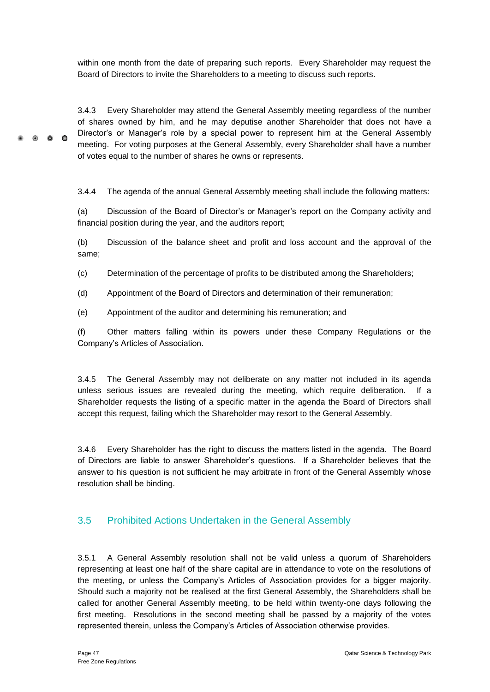within one month from the date of preparing such reports. Every Shareholder may request the Board of Directors to invite the Shareholders to a meeting to discuss such reports.

3.4.3 Every Shareholder may attend the General Assembly meeting regardless of the number of shares owned by him, and he may deputise another Shareholder that does not have a Director's or Manager's role by a special power to represent him at the General Assembly  $\bullet$   $\bullet$   $\bullet$ meeting. For voting purposes at the General Assembly, every Shareholder shall have a number of votes equal to the number of shares he owns or represents.

3.4.4 The agenda of the annual General Assembly meeting shall include the following matters:

(a) Discussion of the Board of Director's or Manager's report on the Company activity and financial position during the year, and the auditors report;

(b) Discussion of the balance sheet and profit and loss account and the approval of the same;

(c) Determination of the percentage of profits to be distributed among the Shareholders;

(d) Appointment of the Board of Directors and determination of their remuneration;

(e) Appointment of the auditor and determining his remuneration; and

(f) Other matters falling within its powers under these Company Regulations or the Company's Articles of Association.

3.4.5 The General Assembly may not deliberate on any matter not included in its agenda unless serious issues are revealed during the meeting, which require deliberation. If a Shareholder requests the listing of a specific matter in the agenda the Board of Directors shall accept this request, failing which the Shareholder may resort to the General Assembly.

3.4.6 Every Shareholder has the right to discuss the matters listed in the agenda. The Board of Directors are liable to answer Shareholder's questions. If a Shareholder believes that the answer to his question is not sufficient he may arbitrate in front of the General Assembly whose resolution shall be binding.

## <span id="page-52-0"></span>3.5 Prohibited Actions Undertaken in the General Assembly

3.5.1 A General Assembly resolution shall not be valid unless a quorum of Shareholders representing at least one half of the share capital are in attendance to vote on the resolutions of the meeting, or unless the Company's Articles of Association provides for a bigger majority. Should such a majority not be realised at the first General Assembly, the Shareholders shall be called for another General Assembly meeting, to be held within twenty-one days following the first meeting. Resolutions in the second meeting shall be passed by a majority of the votes represented therein, unless the Company's Articles of Association otherwise provides.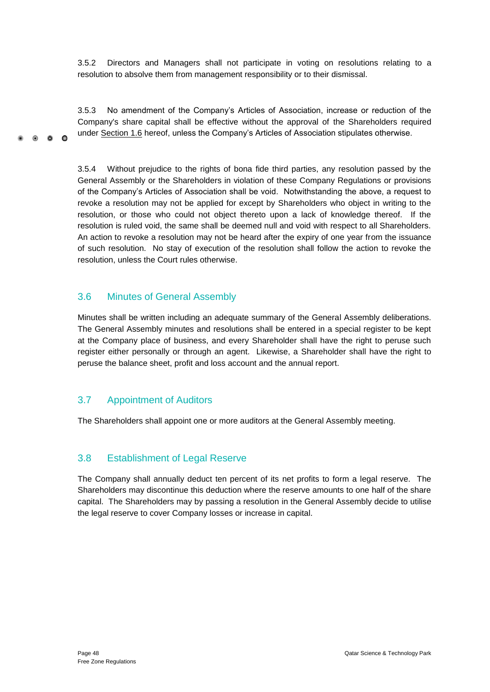3.5.2 Directors and Managers shall not participate in voting on resolutions relating to a resolution to absolve them from management responsibility or to their dismissal.

3.5.3 No amendment of the Company's Articles of Association, increase or reduction of the Company's share capital shall be effective without the approval of the Shareholders required under Section 1.6 hereof, unless the Company's Articles of Association stipulates otherwise.

3.5.4 Without prejudice to the rights of bona fide third parties, any resolution passed by the General Assembly or the Shareholders in violation of these Company Regulations or provisions of the Company's Articles of Association shall be void. Notwithstanding the above, a request to revoke a resolution may not be applied for except by Shareholders who object in writing to the resolution, or those who could not object thereto upon a lack of knowledge thereof. If the resolution is ruled void, the same shall be deemed null and void with respect to all Shareholders. An action to revoke a resolution may not be heard after the expiry of one year from the issuance of such resolution. No stay of execution of the resolution shall follow the action to revoke the resolution, unless the Court rules otherwise.

## <span id="page-53-0"></span>3.6 Minutes of General Assembly

 $0<sub>0</sub>$ 

 $\sim$ 

Minutes shall be written including an adequate summary of the General Assembly deliberations. The General Assembly minutes and resolutions shall be entered in a special register to be kept at the Company place of business, and every Shareholder shall have the right to peruse such register either personally or through an agent. Likewise, a Shareholder shall have the right to peruse the balance sheet, profit and loss account and the annual report.

## <span id="page-53-1"></span>3.7 Appointment of Auditors

The Shareholders shall appoint one or more auditors at the General Assembly meeting.

## <span id="page-53-2"></span>3.8 Establishment of Legal Reserve

The Company shall annually deduct ten percent of its net profits to form a legal reserve. The Shareholders may discontinue this deduction where the reserve amounts to one half of the share capital. The Shareholders may by passing a resolution in the General Assembly decide to utilise the legal reserve to cover Company losses or increase in capital.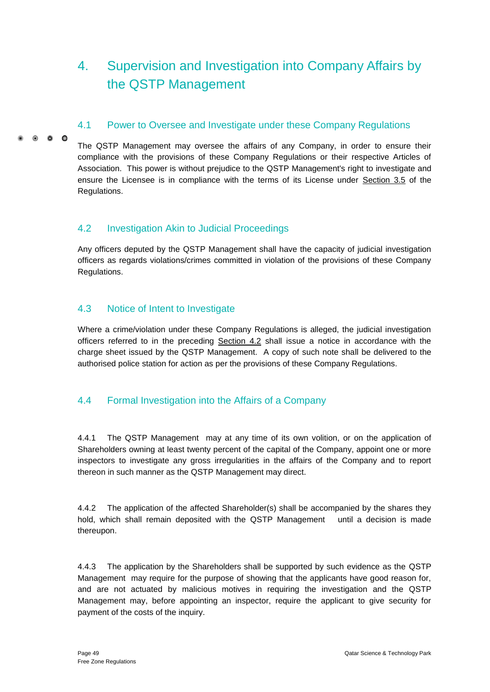# <span id="page-54-0"></span>4. Supervision and Investigation into Company Affairs by the QSTP Management

## <span id="page-54-1"></span>4.1 Power to Oversee and Investigate under these Company Regulations

 $\bullet$   $\bullet$   $\bullet$ 

The QSTP Management may oversee the affairs of any Company, in order to ensure their compliance with the provisions of these Company Regulations or their respective Articles of Association. This power is without prejudice to the QSTP Management's right to investigate and ensure the Licensee is in compliance with the terms of its License under Section 3.5 of the Regulations.

## <span id="page-54-2"></span>4.2 Investigation Akin to Judicial Proceedings

Any officers deputed by the QSTP Management shall have the capacity of judicial investigation officers as regards violations/crimes committed in violation of the provisions of these Company Regulations.

## <span id="page-54-3"></span>4.3 Notice of Intent to Investigate

Where a crime/violation under these Company Regulations is alleged, the judicial investigation officers referred to in the preceding Section 4.2 shall issue a notice in accordance with the charge sheet issued by the QSTP Management. A copy of such note shall be delivered to the authorised police station for action as per the provisions of these Company Regulations.

## <span id="page-54-4"></span>4.4 Formal Investigation into the Affairs of a Company

4.4.1 The QSTP Management may at any time of its own volition, or on the application of Shareholders owning at least twenty percent of the capital of the Company, appoint one or more inspectors to investigate any gross irregularities in the affairs of the Company and to report thereon in such manner as the QSTP Management may direct.

4.4.2 The application of the affected Shareholder(s) shall be accompanied by the shares they hold, which shall remain deposited with the QSTP Management until a decision is made thereupon.

4.4.3 The application by the Shareholders shall be supported by such evidence as the QSTP Management may require for the purpose of showing that the applicants have good reason for, and are not actuated by malicious motives in requiring the investigation and the QSTP Management may, before appointing an inspector, require the applicant to give security for payment of the costs of the inquiry.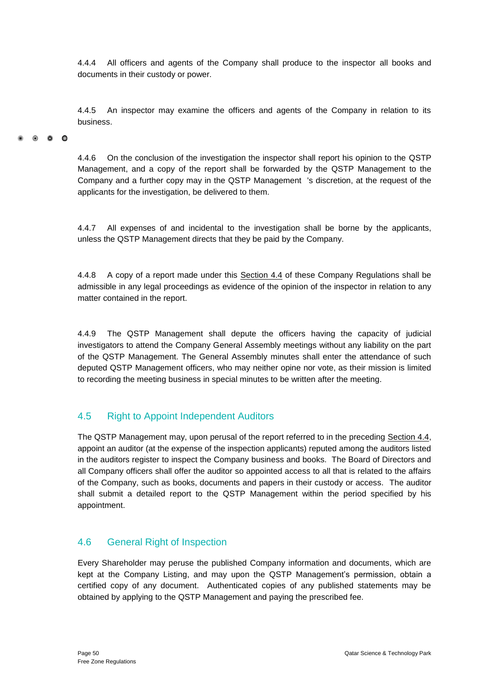4.4.4 All officers and agents of the Company shall produce to the inspector all books and documents in their custody or power.

4.4.5 An inspector may examine the officers and agents of the Company in relation to its business.

#### $0 \quad 0 \quad 0$

4.4.6 On the conclusion of the investigation the inspector shall report his opinion to the QSTP Management, and a copy of the report shall be forwarded by the QSTP Management to the Company and a further copy may in the QSTP Management 's discretion, at the request of the applicants for the investigation, be delivered to them.

4.4.7 All expenses of and incidental to the investigation shall be borne by the applicants, unless the QSTP Management directs that they be paid by the Company.

4.4.8 A copy of a report made under this Section 4.4 of these Company Regulations shall be admissible in any legal proceedings as evidence of the opinion of the inspector in relation to any matter contained in the report.

4.4.9 The QSTP Management shall depute the officers having the capacity of judicial investigators to attend the Company General Assembly meetings without any liability on the part of the QSTP Management. The General Assembly minutes shall enter the attendance of such deputed QSTP Management officers, who may neither opine nor vote, as their mission is limited to recording the meeting business in special minutes to be written after the meeting.

## <span id="page-55-0"></span>4.5 Right to Appoint Independent Auditors

The QSTP Management may, upon perusal of the report referred to in the preceding Section 4.4, appoint an auditor (at the expense of the inspection applicants) reputed among the auditors listed in the auditors register to inspect the Company business and books. The Board of Directors and all Company officers shall offer the auditor so appointed access to all that is related to the affairs of the Company, such as books, documents and papers in their custody or access. The auditor shall submit a detailed report to the QSTP Management within the period specified by his appointment.

### <span id="page-55-1"></span>4.6 General Right of Inspection

Every Shareholder may peruse the published Company information and documents, which are kept at the Company Listing, and may upon the QSTP Management's permission, obtain a certified copy of any document. Authenticated copies of any published statements may be obtained by applying to the QSTP Management and paying the prescribed fee.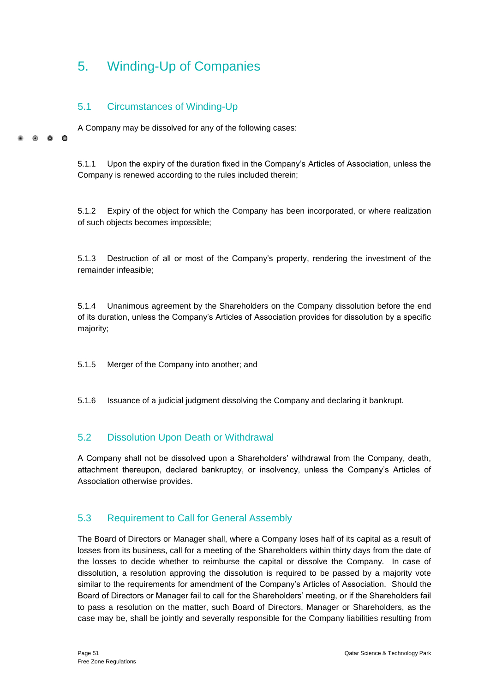# <span id="page-56-0"></span>5. Winding-Up of Companies

## <span id="page-56-1"></span>5.1 Circumstances of Winding-Up

 $\circ$   $\circ$ 

 $\Omega$ 

A Company may be dissolved for any of the following cases:

5.1.1 Upon the expiry of the duration fixed in the Company's Articles of Association, unless the Company is renewed according to the rules included therein;

5.1.2 Expiry of the object for which the Company has been incorporated, or where realization of such objects becomes impossible;

5.1.3 Destruction of all or most of the Company's property, rendering the investment of the remainder infeasible;

5.1.4 Unanimous agreement by the Shareholders on the Company dissolution before the end of its duration, unless the Company's Articles of Association provides for dissolution by a specific majority;

5.1.5 Merger of the Company into another; and

5.1.6 Issuance of a judicial judgment dissolving the Company and declaring it bankrupt.

### <span id="page-56-2"></span>5.2 Dissolution Upon Death or Withdrawal

A Company shall not be dissolved upon a Shareholders' withdrawal from the Company, death, attachment thereupon, declared bankruptcy, or insolvency, unless the Company's Articles of Association otherwise provides.

## <span id="page-56-3"></span>5.3 Requirement to Call for General Assembly

The Board of Directors or Manager shall, where a Company loses half of its capital as a result of losses from its business, call for a meeting of the Shareholders within thirty days from the date of the losses to decide whether to reimburse the capital or dissolve the Company. In case of dissolution, a resolution approving the dissolution is required to be passed by a majority vote similar to the requirements for amendment of the Company's Articles of Association. Should the Board of Directors or Manager fail to call for the Shareholders' meeting, or if the Shareholders fail to pass a resolution on the matter, such Board of Directors, Manager or Shareholders, as the case may be, shall be jointly and severally responsible for the Company liabilities resulting from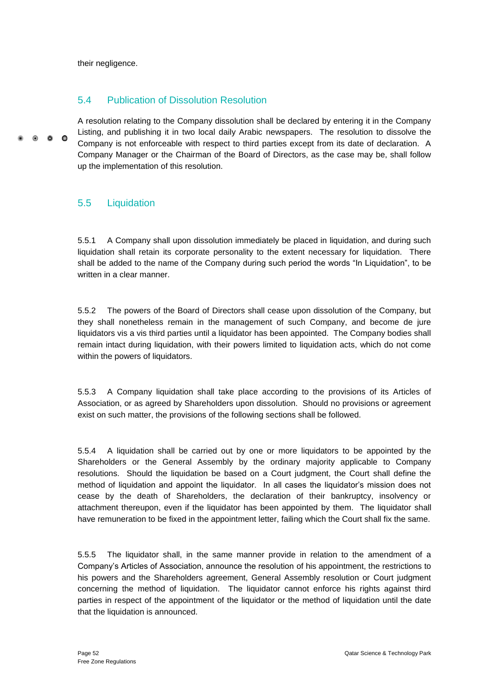their negligence.

### <span id="page-57-0"></span>5.4 Publication of Dissolution Resolution

A resolution relating to the Company dissolution shall be declared by entering it in the Company Listing, and publishing it in two local daily Arabic newspapers. The resolution to dissolve the  $\bullet$   $\bullet$   $\bullet$ Company is not enforceable with respect to third parties except from its date of declaration. A Company Manager or the Chairman of the Board of Directors, as the case may be, shall follow up the implementation of this resolution.

### <span id="page-57-1"></span>5.5 Liquidation

5.5.1 A Company shall upon dissolution immediately be placed in liquidation, and during such liquidation shall retain its corporate personality to the extent necessary for liquidation. There shall be added to the name of the Company during such period the words "In Liquidation", to be written in a clear manner.

5.5.2 The powers of the Board of Directors shall cease upon dissolution of the Company, but they shall nonetheless remain in the management of such Company, and become de jure liquidators vis a vis third parties until a liquidator has been appointed. The Company bodies shall remain intact during liquidation, with their powers limited to liquidation acts, which do not come within the powers of liquidators.

5.5.3 A Company liquidation shall take place according to the provisions of its Articles of Association, or as agreed by Shareholders upon dissolution. Should no provisions or agreement exist on such matter, the provisions of the following sections shall be followed.

5.5.4 A liquidation shall be carried out by one or more liquidators to be appointed by the Shareholders or the General Assembly by the ordinary majority applicable to Company resolutions. Should the liquidation be based on a Court judgment, the Court shall define the method of liquidation and appoint the liquidator. In all cases the liquidator's mission does not cease by the death of Shareholders, the declaration of their bankruptcy, insolvency or attachment thereupon, even if the liquidator has been appointed by them. The liquidator shall have remuneration to be fixed in the appointment letter, failing which the Court shall fix the same.

5.5.5 The liquidator shall, in the same manner provide in relation to the amendment of a Company's Articles of Association, announce the resolution of his appointment, the restrictions to his powers and the Shareholders agreement, General Assembly resolution or Court judgment concerning the method of liquidation. The liquidator cannot enforce his rights against third parties in respect of the appointment of the liquidator or the method of liquidation until the date that the liquidation is announced.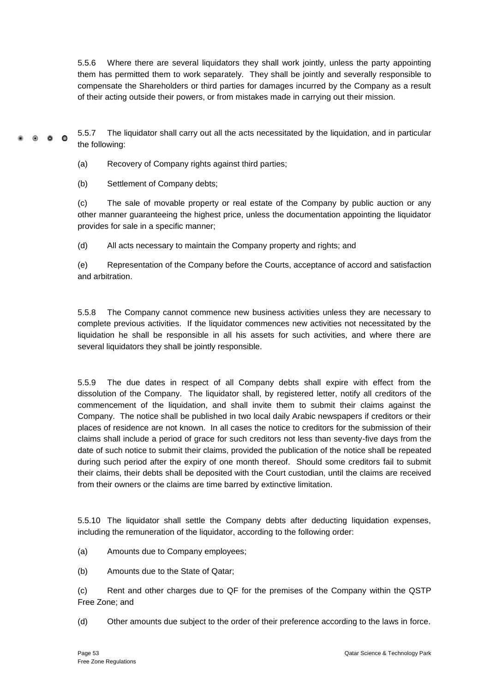5.5.6 Where there are several liquidators they shall work jointly, unless the party appointing them has permitted them to work separately. They shall be jointly and severally responsible to compensate the Shareholders or third parties for damages incurred by the Company as a result of their acting outside their powers, or from mistakes made in carrying out their mission.

5.5.7 The liquidator shall carry out all the acts necessitated by the liquidation, and in particular  $0.00$ the following:

(a) Recovery of Company rights against third parties;

(b) Settlement of Company debts;

(c) The sale of movable property or real estate of the Company by public auction or any other manner guaranteeing the highest price, unless the documentation appointing the liquidator provides for sale in a specific manner;

(d) All acts necessary to maintain the Company property and rights; and

(e) Representation of the Company before the Courts, acceptance of accord and satisfaction and arbitration.

5.5.8 The Company cannot commence new business activities unless they are necessary to complete previous activities. If the liquidator commences new activities not necessitated by the liquidation he shall be responsible in all his assets for such activities, and where there are several liquidators they shall be jointly responsible.

5.5.9 The due dates in respect of all Company debts shall expire with effect from the dissolution of the Company. The liquidator shall, by registered letter, notify all creditors of the commencement of the liquidation, and shall invite them to submit their claims against the Company. The notice shall be published in two local daily Arabic newspapers if creditors or their places of residence are not known. In all cases the notice to creditors for the submission of their claims shall include a period of grace for such creditors not less than seventy-five days from the date of such notice to submit their claims, provided the publication of the notice shall be repeated during such period after the expiry of one month thereof. Should some creditors fail to submit their claims, their debts shall be deposited with the Court custodian, until the claims are received from their owners or the claims are time barred by extinctive limitation.

5.5.10 The liquidator shall settle the Company debts after deducting liquidation expenses, including the remuneration of the liquidator, according to the following order:

(a) Amounts due to Company employees;

(b) Amounts due to the State of Qatar;

(c) Rent and other charges due to QF for the premises of the Company within the QSTP Free Zone; and

(d) Other amounts due subject to the order of their preference according to the laws in force.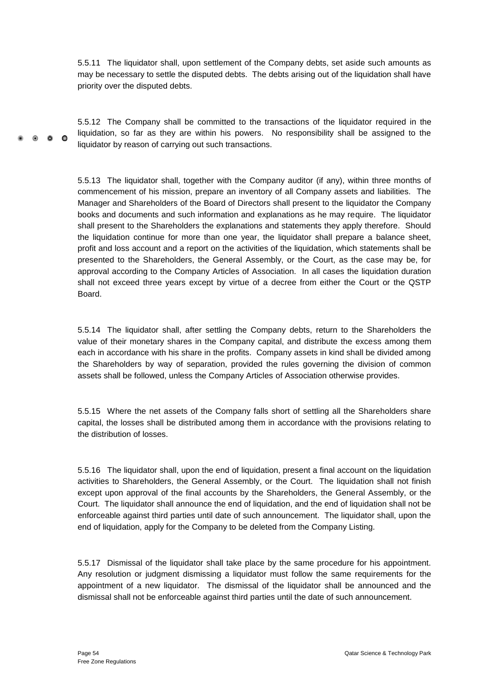5.5.11 The liquidator shall, upon settlement of the Company debts, set aside such amounts as may be necessary to settle the disputed debts. The debts arising out of the liquidation shall have priority over the disputed debts.

5.5.12 The Company shall be committed to the transactions of the liquidator required in the liquidation, so far as they are within his powers. No responsibility shall be assigned to the 0 0 0 liquidator by reason of carrying out such transactions.

> 5.5.13 The liquidator shall, together with the Company auditor (if any), within three months of commencement of his mission, prepare an inventory of all Company assets and liabilities. The Manager and Shareholders of the Board of Directors shall present to the liquidator the Company books and documents and such information and explanations as he may require. The liquidator shall present to the Shareholders the explanations and statements they apply therefore. Should the liquidation continue for more than one year, the liquidator shall prepare a balance sheet, profit and loss account and a report on the activities of the liquidation, which statements shall be presented to the Shareholders, the General Assembly, or the Court, as the case may be, for approval according to the Company Articles of Association. In all cases the liquidation duration shall not exceed three years except by virtue of a decree from either the Court or the QSTP Board.

> 5.5.14 The liquidator shall, after settling the Company debts, return to the Shareholders the value of their monetary shares in the Company capital, and distribute the excess among them each in accordance with his share in the profits. Company assets in kind shall be divided among the Shareholders by way of separation, provided the rules governing the division of common assets shall be followed, unless the Company Articles of Association otherwise provides.

> 5.5.15 Where the net assets of the Company falls short of settling all the Shareholders share capital, the losses shall be distributed among them in accordance with the provisions relating to the distribution of losses.

> 5.5.16 The liquidator shall, upon the end of liquidation, present a final account on the liquidation activities to Shareholders, the General Assembly, or the Court. The liquidation shall not finish except upon approval of the final accounts by the Shareholders, the General Assembly, or the Court. The liquidator shall announce the end of liquidation, and the end of liquidation shall not be enforceable against third parties until date of such announcement. The liquidator shall, upon the end of liquidation, apply for the Company to be deleted from the Company Listing.

> 5.5.17 Dismissal of the liquidator shall take place by the same procedure for his appointment. Any resolution or judgment dismissing a liquidator must follow the same requirements for the appointment of a new liquidator. The dismissal of the liquidator shall be announced and the dismissal shall not be enforceable against third parties until the date of such announcement.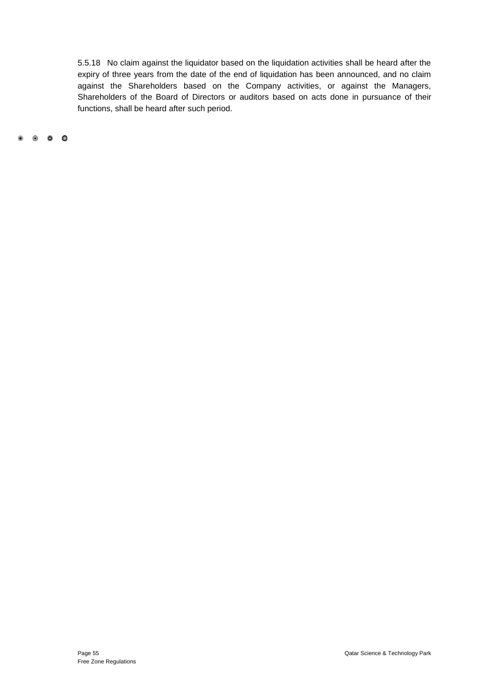5.5.18 No claim against the liquidator based on the liquidation activities shall be heard after the expiry of three years from the date of the end of liquidation has been announced, and no claim against the Shareholders based on the Company activities, or against the Managers, Shareholders of the Board of Directors or auditors based on acts done in pursuance of their functions, shall be heard after such period.

. . . .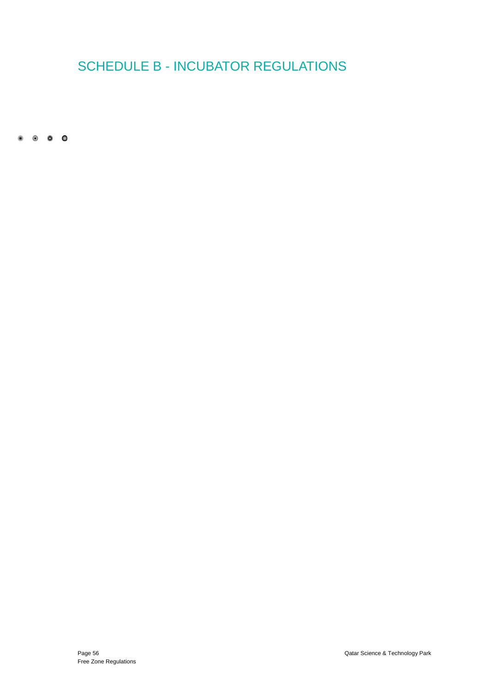# <span id="page-61-1"></span><span id="page-61-0"></span>SCHEDULE B - INCUBATOR REGULATIONS

 $\begin{array}{ccccccccccccccccc} \bullet & \circ & \circ & \circ & \circ & \circ \end{array}$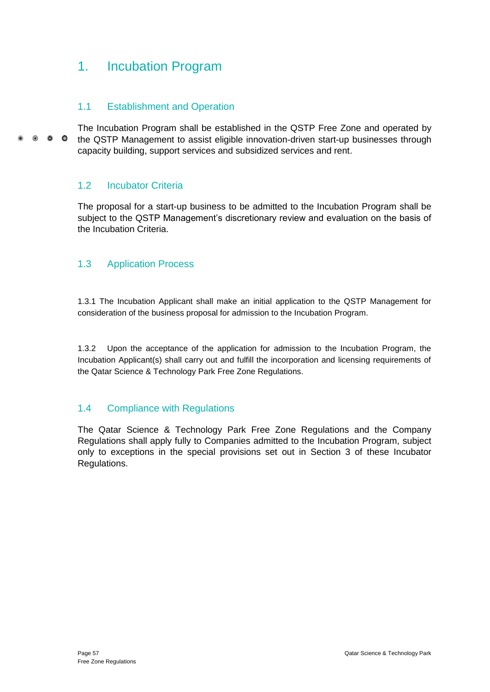## 1. Incubation Program

## <span id="page-62-0"></span>1.1 Establishment and Operation

The Incubation Program shall be established in the QSTP Free Zone and operated by  $\bullet$   $\bullet$   $\bullet$ the QSTP Management to assist eligible innovation-driven start-up businesses through capacity building, support services and subsidized services and rent.

### <span id="page-62-1"></span>1.2 Incubator Criteria

The proposal for a start-up business to be admitted to the Incubation Program shall be subject to the QSTP Management's discretionary review and evaluation on the basis of the Incubation Criteria.

### <span id="page-62-2"></span>1.3 Application Process

1.3.1 The Incubation Applicant shall make an initial application to the QSTP Management for consideration of the business proposal for admission to the Incubation Program.

1.3.2 Upon the acceptance of the application for admission to the Incubation Program, the Incubation Applicant(s) shall carry out and fulfill the incorporation and licensing requirements of the Qatar Science & Technology Park Free Zone Regulations.

## <span id="page-62-3"></span>1.4 Compliance with Regulations

The Qatar Science & Technology Park Free Zone Regulations and the Company Regulations shall apply fully to Companies admitted to the Incubation Program, subject only to exceptions in the special provisions set out in Section 3 of these Incubator Regulations.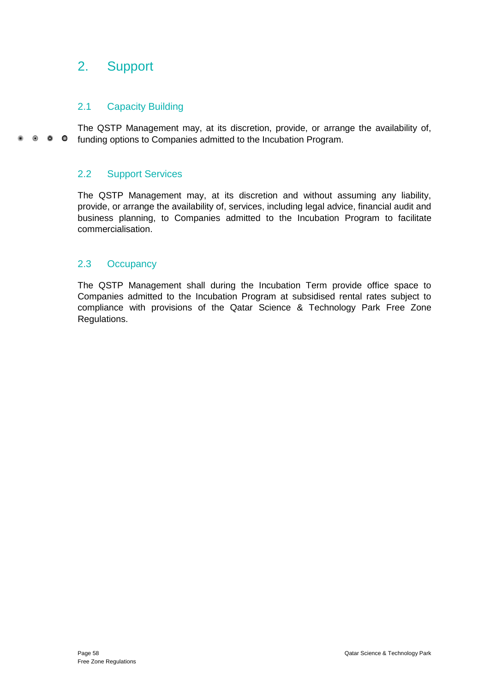## <span id="page-63-0"></span>2. Support

## <span id="page-63-1"></span>2.1 Capacity Building

The QSTP Management may, at its discretion, provide, or arrange the availability of,  $\bullet$   $\bullet$   $\bullet$ funding options to Companies admitted to the Incubation Program.

## <span id="page-63-2"></span>2.2 Support Services

The QSTP Management may, at its discretion and without assuming any liability, provide, or arrange the availability of, services, including legal advice, financial audit and business planning, to Companies admitted to the Incubation Program to facilitate commercialisation.

## <span id="page-63-3"></span>2.3 Occupancy

The QSTP Management shall during the Incubation Term provide office space to Companies admitted to the Incubation Program at subsidised rental rates subject to compliance with provisions of the Qatar Science & Technology Park Free Zone Regulations.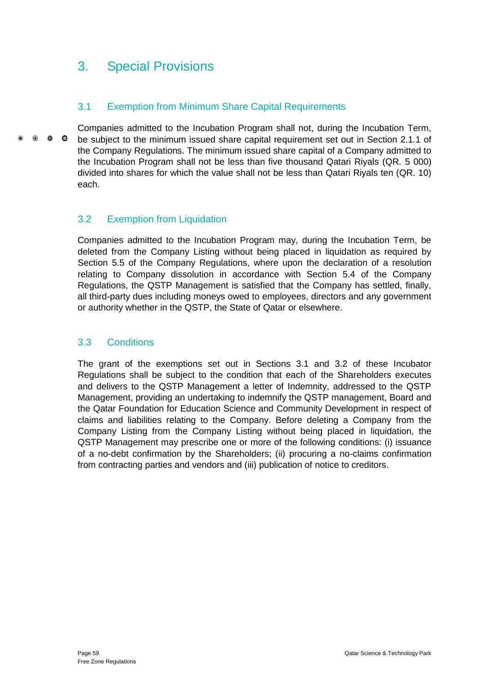## <span id="page-64-0"></span>3. Special Provisions

## <span id="page-64-1"></span>3.1 Exemption from Minimum Share Capital Requirements

Companies admitted to the Incubation Program shall not, during the Incubation Term,  $\bullet$   $\bullet$   $\bullet$ be subject to the minimum issued share capital requirement set out in Section 2.1.1 of the Company Regulations. The minimum issued share capital of a Company admitted to the Incubation Program shall not be less than five thousand Qatari Riyals (QR. 5 000) divided into shares for which the value shall not be less than Qatari Riyals ten (QR. 10) each.

## <span id="page-64-2"></span>3.2 Exemption from Liquidation

Companies admitted to the Incubation Program may, during the Incubation Term, be deleted from the Company Listing without being placed in liquidation as required by Section 5.5 of the Company Regulations, where upon the declaration of a resolution relating to Company dissolution in accordance with Section 5.4 of the Company Regulations, the QSTP Management is satisfied that the Company has settled, finally, all third-party dues including moneys owed to employees, directors and any government or authority whether in the QSTP, the State of Qatar or elsewhere.

## <span id="page-64-3"></span>3.3 Conditions

The grant of the exemptions set out in Sections 3.1 and 3.2 of these Incubator Regulations shall be subject to the condition that each of the Shareholders executes and delivers to the QSTP Management a letter of Indemnity, addressed to the QSTP Management, providing an undertaking to indemnify the QSTP management, Board and the Qatar Foundation for Education Science and Community Development in respect of claims and liabilities relating to the Company. Before deleting a Company from the Company Listing from the Company Listing without being placed in liquidation, the QSTP Management may prescribe one or more of the following conditions: (i) issuance of a no-debt confirmation by the Shareholders; (ii) procuring a no-claims confirmation from contracting parties and vendors and (iii) publication of notice to creditors.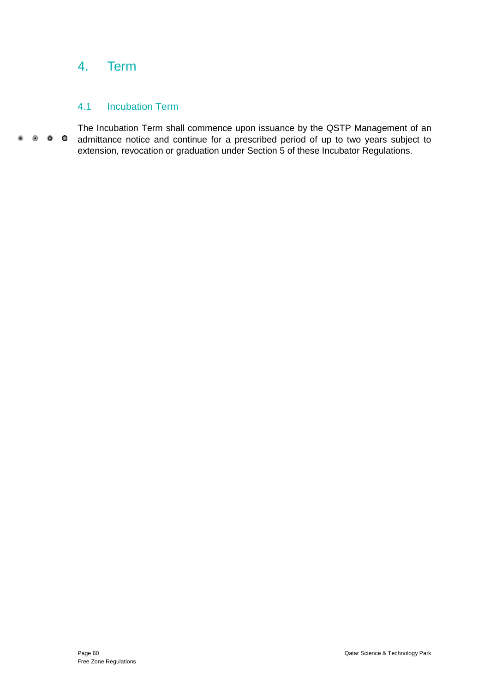## <span id="page-65-0"></span>4. Term

## <span id="page-65-1"></span>4.1 Incubation Term

The Incubation Term shall commence upon issuance by the QSTP Management of an  $\begin{array}{ccccccccccccccccc} \bullet & \bullet & \bullet & \bullet & \bullet & \bullet & \bullet \end{array}$ admittance notice and continue for a prescribed period of up to two years subject to extension, revocation or graduation under Section 5 of these Incubator Regulations.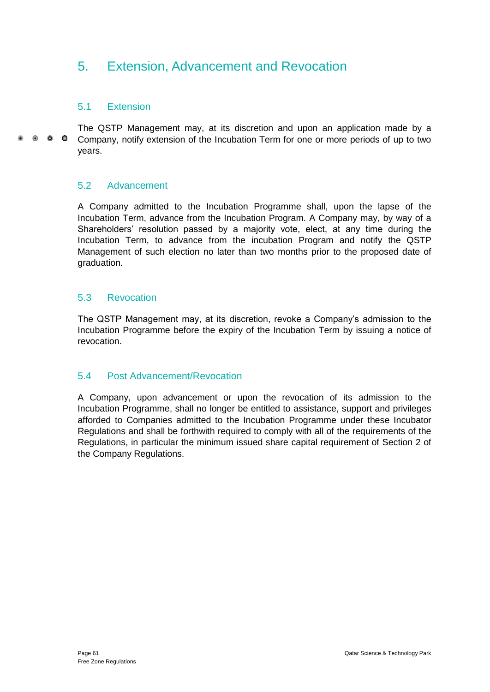## <span id="page-66-0"></span>5. Extension, Advancement and Revocation

### <span id="page-66-1"></span>5.1 Extension

The QSTP Management may, at its discretion and upon an application made by a  $\bullet$   $\bullet$   $\bullet$ Company, notify extension of the Incubation Term for one or more periods of up to two years.

### <span id="page-66-2"></span>5.2 Advancement

A Company admitted to the Incubation Programme shall, upon the lapse of the Incubation Term, advance from the Incubation Program. A Company may, by way of a Shareholders' resolution passed by a majority vote, elect, at any time during the Incubation Term, to advance from the incubation Program and notify the QSTP Management of such election no later than two months prior to the proposed date of graduation.

## <span id="page-66-3"></span>5.3 Revocation

The QSTP Management may, at its discretion, revoke a Company's admission to the Incubation Programme before the expiry of the Incubation Term by issuing a notice of revocation.

### <span id="page-66-4"></span>5.4 Post Advancement/Revocation

A Company, upon advancement or upon the revocation of its admission to the Incubation Programme, shall no longer be entitled to assistance, support and privileges afforded to Companies admitted to the Incubation Programme under these Incubator Regulations and shall be forthwith required to comply with all of the requirements of the Regulations, in particular the minimum issued share capital requirement of Section 2 of the Company Regulations.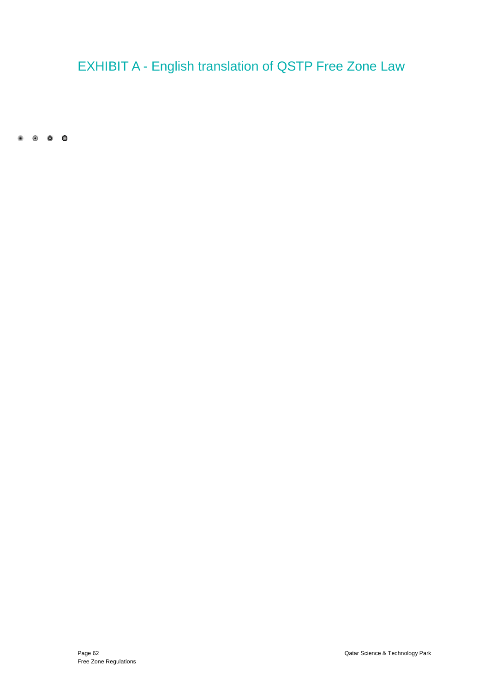# <span id="page-67-0"></span>EXHIBIT A - English translation of QSTP Free Zone Law

 $\begin{array}{ccccccccccccccccc} \bullet & \circ & \circ & \circ & \circ & \circ \end{array}$